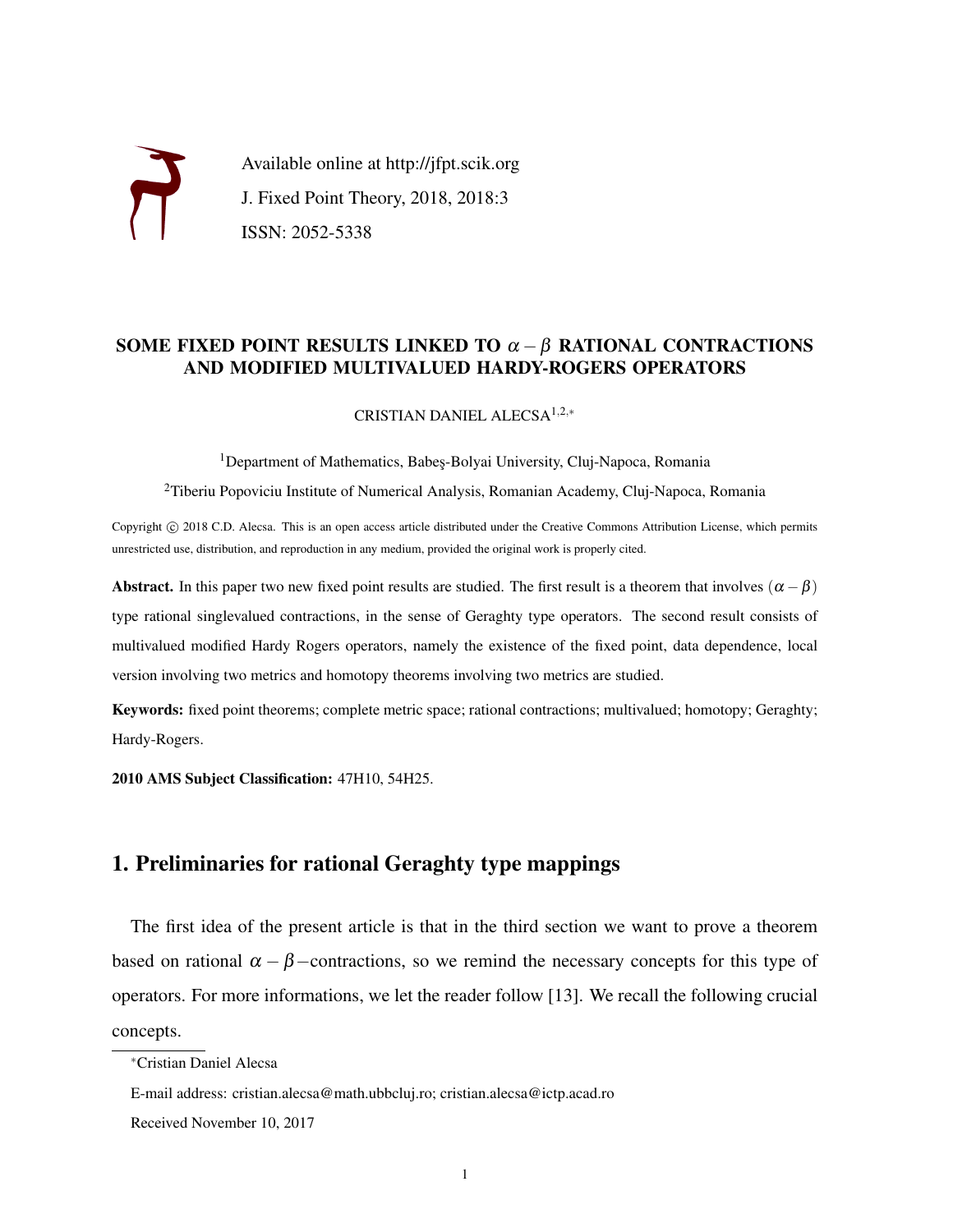

## SOME FIXED POINT RESULTS LINKED TO  $\alpha - \beta$  RATIONAL CONTRACTIONS AND MODIFIED MULTIVALUED HARDY-ROGERS OPERATORS

CRISTIAN DANIEL ALECSA1,2,<sup>∗</sup>

<sup>1</sup>Department of Mathematics, Babes-Bolyai University, Cluj-Napoca, Romania

<sup>2</sup>Tiberiu Popoviciu Institute of Numerical Analysis, Romanian Academy, Cluj-Napoca, Romania

Copyright © 2018 C.D. Alecsa. This is an open access article distributed under the Creative Commons Attribution License, which permits unrestricted use, distribution, and reproduction in any medium, provided the original work is properly cited.

Abstract. In this paper two new fixed point results are studied. The first result is a theorem that involves  $(\alpha - \beta)$ type rational singlevalued contractions, in the sense of Geraghty type operators. The second result consists of multivalued modified Hardy Rogers operators, namely the existence of the fixed point, data dependence, local version involving two metrics and homotopy theorems involving two metrics are studied.

Keywords: fixed point theorems; complete metric space; rational contractions; multivalued; homotopy; Geraghty; Hardy-Rogers.

2010 AMS Subject Classification: 47H10, 54H25.

## 1. Preliminaries for rational Geraghty type mappings

The first idea of the present article is that in the third section we want to prove a theorem based on rational  $\alpha - \beta$  –contractions, so we remind the necessary concepts for this type of operators. For more informations, we let the reader follow [13]. We recall the following crucial concepts.

<sup>∗</sup>Cristian Daniel Alecsa

E-mail address: cristian.alecsa@math.ubbcluj.ro; cristian.alecsa@ictp.acad.ro

Received November 10, 2017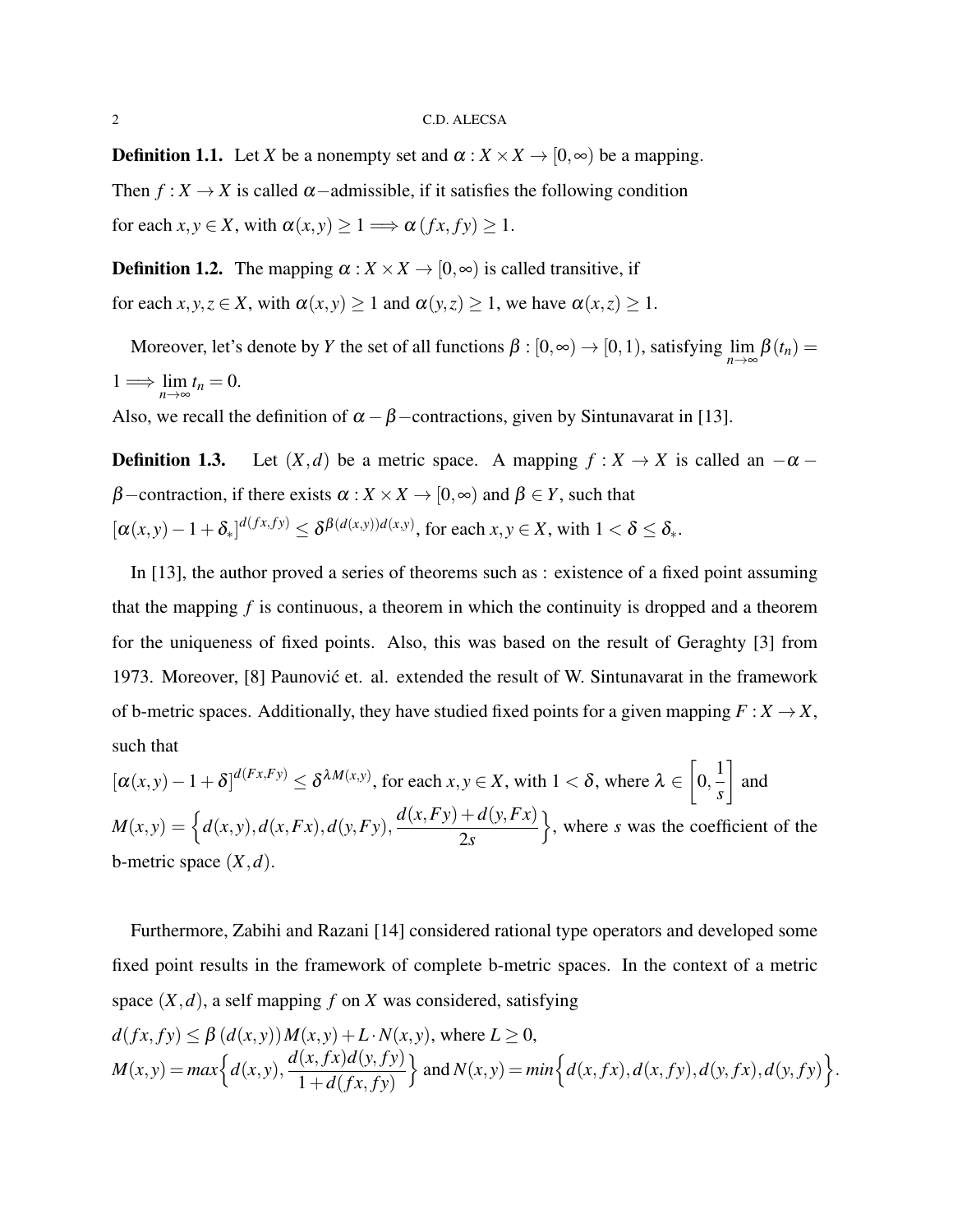**Definition 1.1.** Let *X* be a nonempty set and  $\alpha : X \times X \rightarrow [0, \infty)$  be a mapping. Then  $f: X \to X$  is called  $\alpha$  –admissible, if it satisfies the following condition for each  $x, y \in X$ , with  $\alpha(x, y) \geq 1 \Longrightarrow \alpha(fx, fy) \geq 1$ .

**Definition 1.2.** The mapping  $\alpha : X \times X \rightarrow [0, \infty)$  is called transitive, if for each  $x, y, z \in X$ , with  $\alpha(x, y) \ge 1$  and  $\alpha(y, z) \ge 1$ , we have  $\alpha(x, z) \ge 1$ .

Moreover, let's denote by *Y* the set of all functions  $\beta : [0, \infty) \to [0, 1)$ , satisfying  $\lim_{n \to \infty} \beta(t_n) =$  $1 \Longrightarrow \lim_{n \to \infty} t_n = 0.$ 

Also, we recall the definition of  $\alpha - \beta$  –contractions, given by Sintunavarat in [13].

**Definition 1.3.** Let  $(X,d)$  be a metric space. A mapping  $f: X \to X$  is called an  $-\alpha$  $\beta$  –contraction, if there exists  $\alpha : X \times X \to [0, \infty)$  and  $\beta \in Y$ , such that  $[\alpha(x, y) - 1 + \delta_x]^{d(fx, fy)} \leq \delta^{\beta(d(x, y))d(x, y)}$ , for each  $x, y \in X$ , with  $1 < \delta \leq \delta_x$ .

In [13], the author proved a series of theorems such as : existence of a fixed point assuming that the mapping *f* is continuous, a theorem in which the continuity is dropped and a theorem for the uniqueness of fixed points. Also, this was based on the result of Geraghty [3] from 1973. Moreover, [8] Paunovic et. al. extended the result of W. Sintunavarat in the framework ´ of b-metric spaces. Additionally, they have studied fixed points for a given mapping  $F : X \to X$ , such that r.

$$
[\alpha(x,y) - 1 + \delta]^{d(Fx, Fy)} \le \delta^{\lambda M(x,y)}, \text{ for each } x, y \in X, \text{ with } 1 < \delta, \text{ where } \lambda \in \left[0, \frac{1}{s}\right] \text{ and } M(x,y) = \left\{d(x,y), d(x,Fx), d(y,Fy), \frac{d(x,Fy) + d(y,Fx)}{2s}\right\}, \text{ where } s \text{ was the coefficient of the b-metric space } (X,d).
$$

Furthermore, Zabihi and Razani [14] considered rational type operators and developed some fixed point results in the framework of complete b-metric spaces. In the context of a metric space  $(X, d)$ , a self mapping  $f$  on  $X$  was considered, satisfying  $d(fx, fy) \leq \beta(d(x, y))M(x, y) + L \cdot N(x, y)$ , where  $L \geq 0$ ,  $M(x, y) = max\Big\{d(x, y),\$  $d(x, fx)d(y, fy)$  $1+d(fx, fy)$  $\}$  and  $N(x, y) = min\{d(x, fx), d(x, fy), d(y, fx), d(y, fy)\}.$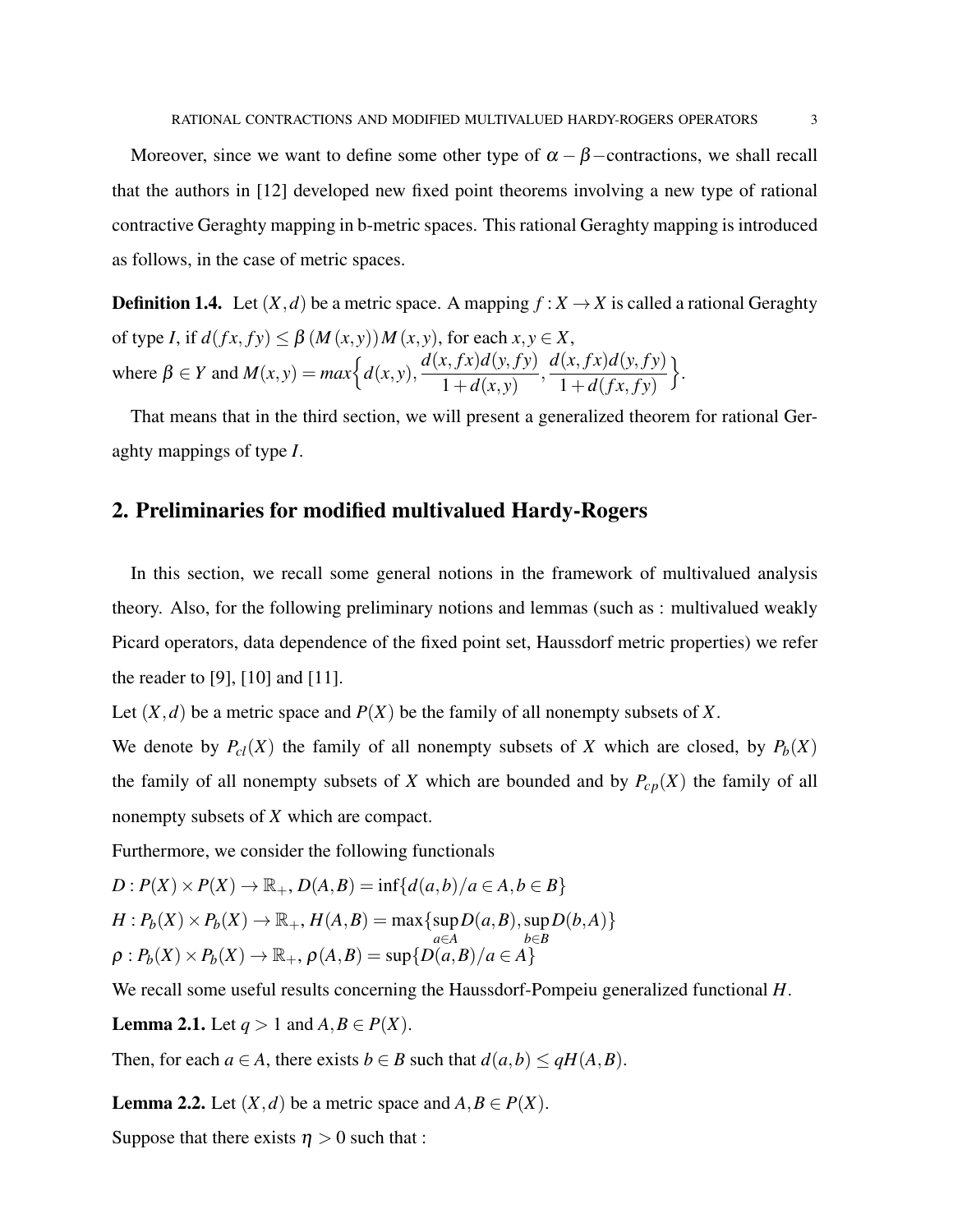Moreover, since we want to define some other type of  $\alpha - \beta$  –contractions, we shall recall that the authors in [12] developed new fixed point theorems involving a new type of rational contractive Geraghty mapping in b-metric spaces. This rational Geraghty mapping is introduced as follows, in the case of metric spaces.

**Definition 1.4.** Let  $(X,d)$  be a metric space. A mapping  $f: X \to X$  is called a rational Geraghty of type *I*, if  $d(fx, fy) \leq \beta(M(x, y))M(x, y)$ , for each  $x, y \in X$ , where  $\beta \in Y$  and  $M(x, y) = max\left\{d(x, y),\right\}$  $d(x, fx)d(y, fy)$  $1 + d(x, y)$ ,  $d(x, fx)d(y, fy)$  $1 + d(fx, fy)$  $\big\}$ .

That means that in the third section, we will present a generalized theorem for rational Geraghty mappings of type *I*.

## 2. Preliminaries for modified multivalued Hardy-Rogers

In this section, we recall some general notions in the framework of multivalued analysis theory. Also, for the following preliminary notions and lemmas (such as : multivalued weakly Picard operators, data dependence of the fixed point set, Haussdorf metric properties) we refer the reader to [9], [10] and [11].

Let  $(X, d)$  be a metric space and  $P(X)$  be the family of all nonempty subsets of X.

We denote by  $P_c(X)$  the family of all nonempty subsets of *X* which are closed, by  $P_b(X)$ the family of all nonempty subsets of *X* which are bounded and by  $P_{cp}(X)$  the family of all nonempty subsets of *X* which are compact.

Furthermore, we consider the following functionals

$$
D: P(X) \times P(X) \to \mathbb{R}_+, D(A, B) = \inf\{d(a, b)/a \in A, b \in B\}
$$
  
\n
$$
H: P_b(X) \times P_b(X) \to \mathbb{R}_+, H(A, B) = \max\{\sup_{a \in A} D(a, B), \sup_{b \in B} D(b, A)\}
$$
  
\n
$$
\rho: P_b(X) \times P_b(X) \to \mathbb{R}_+, \rho(A, B) = \sup\{D(a, B)/a \in A\}
$$

We recall some useful results concerning the Haussdorf-Pompeiu generalized functional *H*.

**Lemma 2.1.** Let  $q > 1$  and  $A, B \in P(X)$ .

Then, for each  $a \in A$ , there exists  $b \in B$  such that  $d(a,b) \leq qH(A,B)$ .

**Lemma 2.2.** Let  $(X, d)$  be a metric space and  $A, B \in P(X)$ .

Suppose that there exists  $\eta > 0$  such that :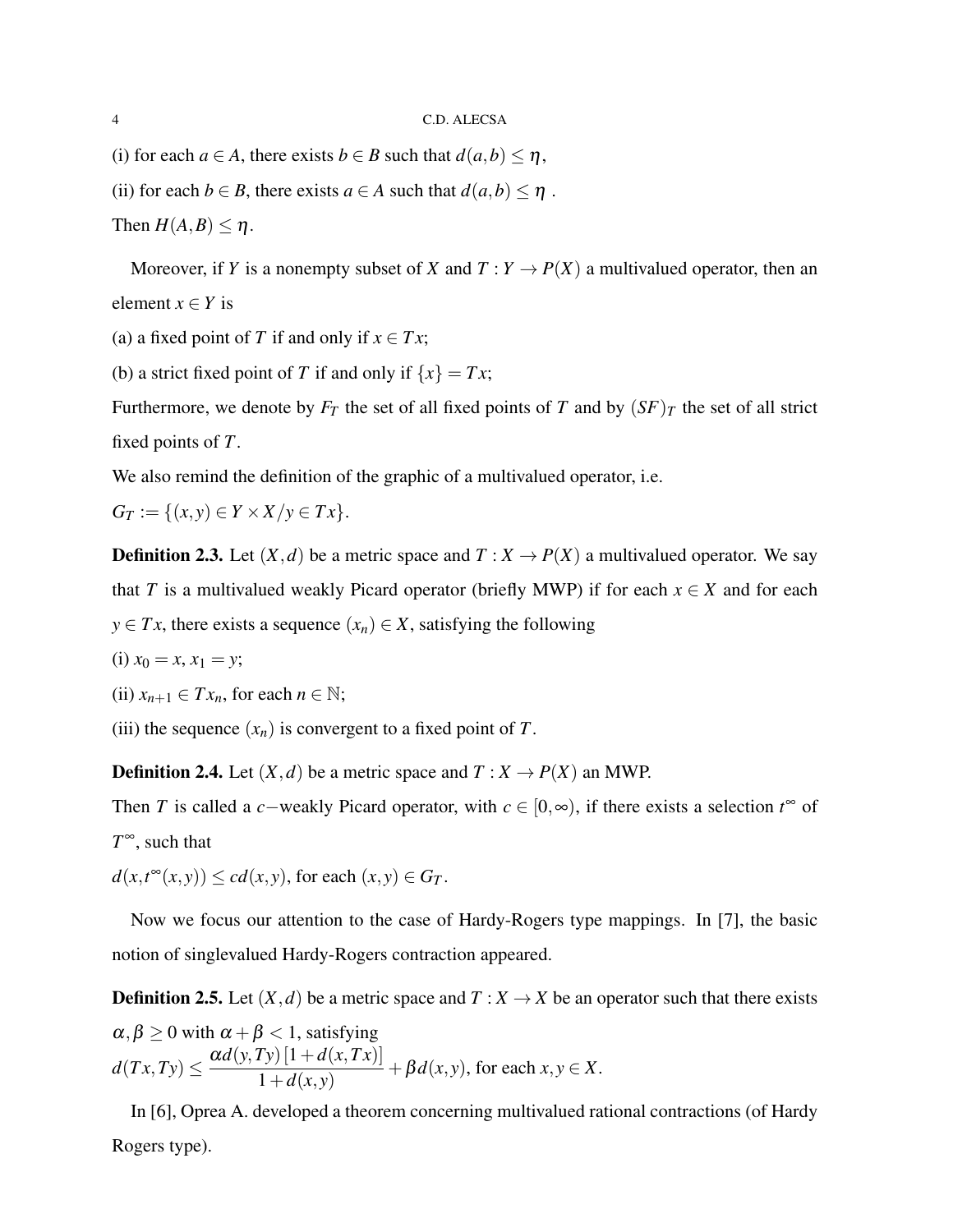- (i) for each  $a \in A$ , there exists  $b \in B$  such that  $d(a,b) \leq \eta$ ,
- (ii) for each *b*  $\in$  *B*, there exists *a*  $\in$  *A* such that *d*(*a*,*b*)  $\leq \eta$ .

Then  $H(A, B) \leq \eta$ .

Moreover, if *Y* is a nonempty subset of *X* and  $T: Y \to P(X)$  a multivalued operator, then an element  $x \in Y$  is

- (a) a fixed point of *T* if and only if  $x \in Tx$ ;
- (b) a strict fixed point of *T* if and only if  $\{x\} = Tx$ ;

Furthermore, we denote by  $F_T$  the set of all fixed points of *T* and by  $(SF)_T$  the set of all strict fixed points of *T*.

We also remind the definition of the graphic of a multivalued operator, i.e.

 $G_T := \{(x, y) \in Y \times X / y \in Tx\}.$ 

**Definition 2.3.** Let  $(X,d)$  be a metric space and  $T : X \to P(X)$  a multivalued operator. We say that *T* is a multivalued weakly Picard operator (briefly MWP) if for each  $x \in X$  and for each *y* ∈ *Tx*, there exists a sequence  $(x_n) \in X$ , satisfying the following

(i) 
$$
x_0 = x, x_1 = y;
$$

(ii) 
$$
x_{n+1} \in Tx_n
$$
, for each  $n \in \mathbb{N}$ ;

(iii) the sequence  $(x_n)$  is convergent to a fixed point of *T*.

**Definition 2.4.** Let  $(X,d)$  be a metric space and  $T : X \to P(X)$  an MWP.

Then *T* is called a *c*−weakly Picard operator, with  $c \in [0, \infty)$ , if there exists a selection  $t^{\infty}$  of *T* <sup>∞</sup>, such that

 $d(x,t^{\infty}(x,y)) \leq c d(x,y)$ , for each  $(x,y) \in G_T$ .

Now we focus our attention to the case of Hardy-Rogers type mappings. In [7], the basic notion of singlevalued Hardy-Rogers contraction appeared.

**Definition 2.5.** Let  $(X, d)$  be a metric space and  $T : X \to X$  be an operator such that there exists  $\alpha,\beta\geq 0$  with  $\alpha+\beta< 1,$  satisfying  $d(Tx,Ty) \leq \frac{\alpha d(y,Ty)[1+d(x,Tx)]}{1+d(x,y)}$  $\frac{1}{1+d(x,y)} + \beta d(x,y)$ , for each  $x, y \in X$ .

In [6], Oprea A. developed a theorem concerning multivalued rational contractions (of Hardy Rogers type).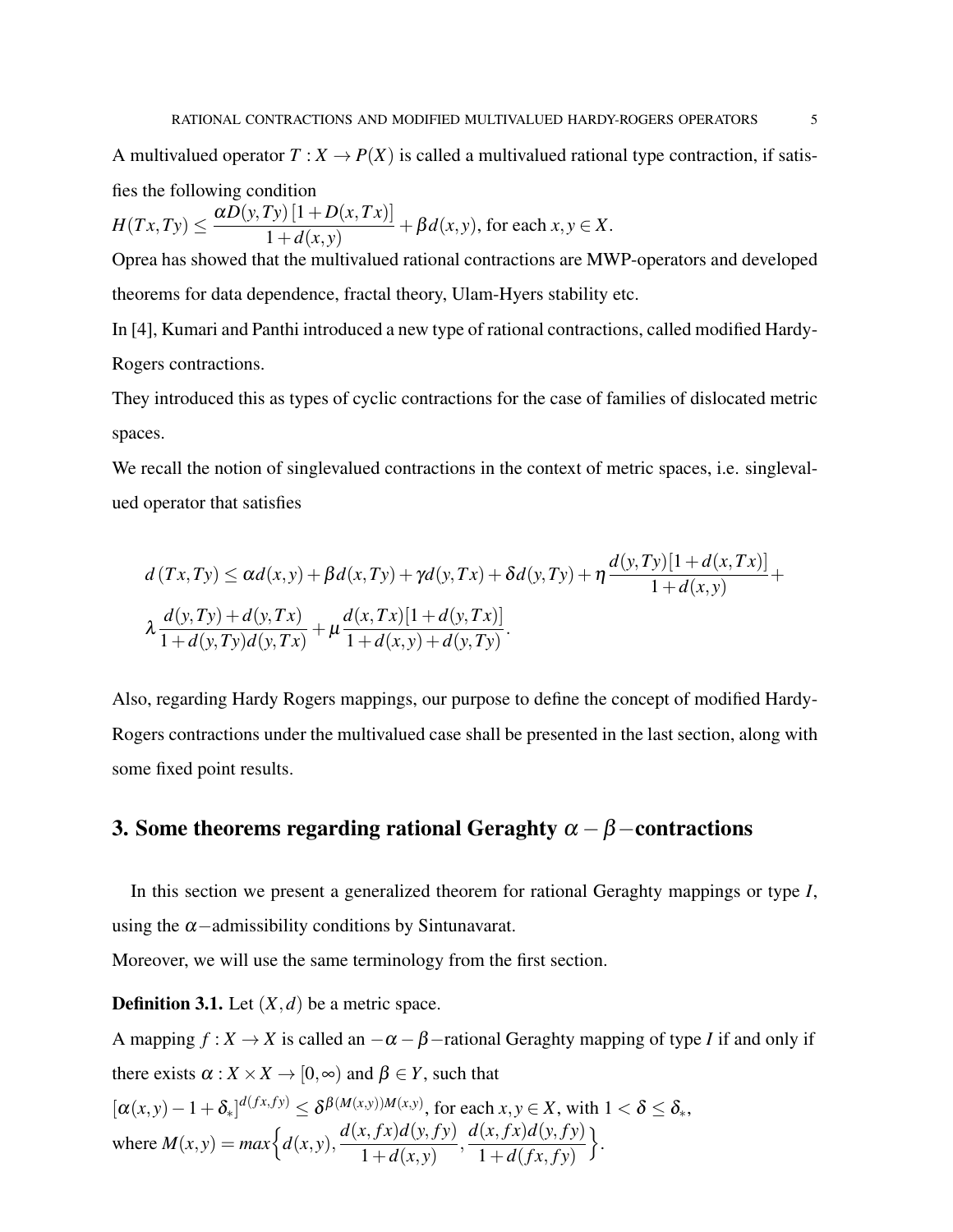A multivalued operator  $T: X \to P(X)$  is called a multivalued rational type contraction, if satisfies the following condition

$$
H(Tx,Ty) \le \frac{\alpha D(y,Ty) [1+D(x,Tx)]}{1+d(x,y)} + \beta d(x,y),
$$
 for each  $x, y \in X$ .

Oprea has showed that the multivalued rational contractions are MWP-operators and developed theorems for data dependence, fractal theory, Ulam-Hyers stability etc.

In [4], Kumari and Panthi introduced a new type of rational contractions, called modified Hardy-Rogers contractions.

They introduced this as types of cyclic contractions for the case of families of dislocated metric spaces.

We recall the notion of singlevalued contractions in the context of metric spaces, i.e. singlevalued operator that satisfies

$$
d(Tx,Ty) \le \alpha d(x,y) + \beta d(x,Ty) + \gamma d(y,Tx) + \delta d(y,Ty) + \eta \frac{d(y,Ty)[1+d(x,Tx)]}{1+d(x,y)} + \lambda \frac{d(y,Ty)+d(y,Tx)}{1+d(y,Ty)d(y,Tx)} + \mu \frac{d(x,Tx)[1+d(y,Tx)]}{1+d(x,y)+d(y,Ty)}.
$$

Also, regarding Hardy Rogers mappings, our purpose to define the concept of modified Hardy-Rogers contractions under the multivalued case shall be presented in the last section, along with some fixed point results.

# 3. Some theorems regarding rational Geraghty  $\alpha - \beta$  –contractions

In this section we present a generalized theorem for rational Geraghty mappings or type *I*, using the  $\alpha$  -admissibility conditions by Sintunavarat.

Moreover, we will use the same terminology from the first section.

**Definition 3.1.** Let  $(X, d)$  be a metric space.

A mapping  $f: X \to X$  is called an  $-\alpha - \beta$  –rational Geraghty mapping of type *I* if and only if there exists  $\alpha$  :  $X \times X \rightarrow [0, \infty)$  and  $\beta \in Y$ , such that

$$
[\alpha(x,y) - 1 + \delta_*]^{d(fx,fy)} \le \delta^{\beta(M(x,y))M(x,y)}, \text{ for each } x, y \in X, \text{ with } 1 < \delta \le \delta_*,
$$
  
where  $M(x,y) = max\Big\{d(x,y), \frac{d(x,fx)d(y,fy)}{1+d(x,y)}, \frac{d(x,fx)d(y,fy)}{1+d(fx,fy)}\Big\}.$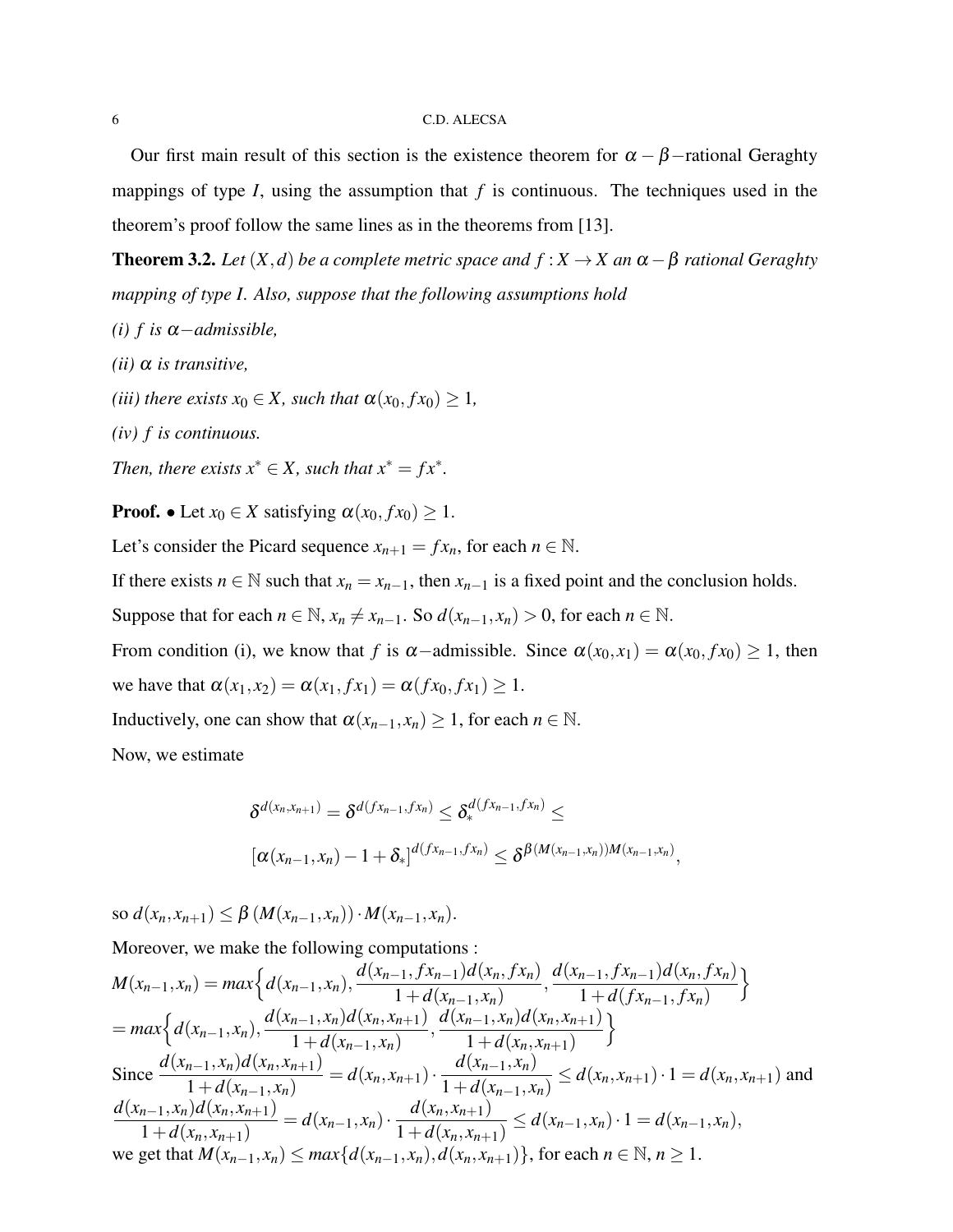Our first main result of this section is the existence theorem for  $\alpha - \beta$  –rational Geraghty mappings of type *I*, using the assumption that *f* is continuous. The techniques used in the theorem's proof follow the same lines as in the theorems from [13].

**Theorem 3.2.** *Let*  $(X,d)$  *be a complete metric space and*  $f : X \to X$  *an*  $\alpha - \beta$  *rational Geraghty mapping of type I. Also, suppose that the following assumptions hold*

- *(i)*  $f$  *is*  $\alpha$  *admissible*,
- *(ii)* α *is transitive,*
- *(iii) there exists*  $x_0 \in X$ *, such that*  $\alpha(x_0, fx_0) \geq 1$ *,*
- *(iv) f is continuous.*

*Then, there exists*  $x^* \in X$ *, such that*  $x^* = fx^*$ *.* 

**Proof.** • Let  $x_0 \in X$  satisfying  $\alpha(x_0, fx_0) \geq 1$ .

Let's consider the Picard sequence  $x_{n+1} = fx_n$ , for each  $n \in \mathbb{N}$ .

If there exists  $n \in \mathbb{N}$  such that  $x_n = x_{n-1}$ , then  $x_{n-1}$  is a fixed point and the conclusion holds.

Suppose that for each  $n \in \mathbb{N}$ ,  $x_n \neq x_{n-1}$ . So  $d(x_{n-1}, x_n) > 0$ , for each  $n \in \mathbb{N}$ .

From condition (i), we know that *f* is  $\alpha$ -admissible. Since  $\alpha(x_0, x_1) = \alpha(x_0, fx_0) \ge 1$ , then we have that  $\alpha(x_1, x_2) = \alpha(x_1, fx_1) = \alpha(fx_0, fx_1) \ge 1$ .

Inductively, one can show that  $\alpha(x_{n-1}, x_n) \geq 1$ , for each  $n \in \mathbb{N}$ .

Now, we estimate

$$
\delta^{d(x_n,x_{n+1})} = \delta^{d(fx_{n-1},fx_n)} \leq \delta^{d(fx_{n-1},fx_n)}_* \leq
$$
  

$$
[\alpha(x_{n-1},x_n)-1+\delta_*]^{d(fx_{n-1},fx_n)} \leq \delta^{\beta(M(x_{n-1},x_n))M(x_{n-1},x_n)},
$$

so  $d(x_n, x_{n+1}) \leq \beta \left( M(x_{n-1}, x_n) \right) \cdot M(x_{n-1}, x_n).$ 

Moreover, we make the following computations :  
\n
$$
M(x_{n-1}, x_n) = max \Big\{ d(x_{n-1}, x_n), \frac{d(x_{n-1}, fx_{n-1})d(x_n, fx_n)}{1 + d(x_{n-1}, x_n)}, \frac{d(x_{n-1}, fx_{n-1})d(x_n, fx_n)}{1 + d(f(x_{n-1}, fx_n))} \Big\}
$$
\n
$$
= max \Big\{ d(x_{n-1}, x_n), \frac{d(x_{n-1}, x_n)d(x_n, x_{n+1})}{1 + d(x_{n-1}, x_n)}, \frac{d(x_{n-1}, x_n)d(x_n, x_{n+1})}{1 + d(x_n, x_{n+1})} \Big\}
$$
\nSince 
$$
\frac{d(x_{n-1}, x_n)d(x_n, x_{n+1})}{1 + d(x_{n-1}, x_n)} = d(x_n, x_{n+1}) \cdot \frac{d(x_{n-1}, x_n)}{1 + d(x_{n-1}, x_n)} \le d(x_n, x_{n+1}) \cdot 1 = d(x_n, x_{n+1})
$$
 and 
$$
\frac{d(x_{n-1}, x_n)d(x_n, x_{n+1})}{1 + d(x_n, x_{n+1})} = d(x_{n-1}, x_n) \cdot \frac{d(x_n, x_{n+1})}{1 + d(x_n, x_{n+1})} \le d(x_{n-1}, x_n) \cdot 1 = d(x_{n-1}, x_n),
$$
\nwe get that 
$$
M(x_{n-1}, x_n) \le max \{ d(x_{n-1}, x_n), d(x_n, x_{n+1}) \}
$$
, for each  $n \in \mathbb{N}, n \ge 1$ .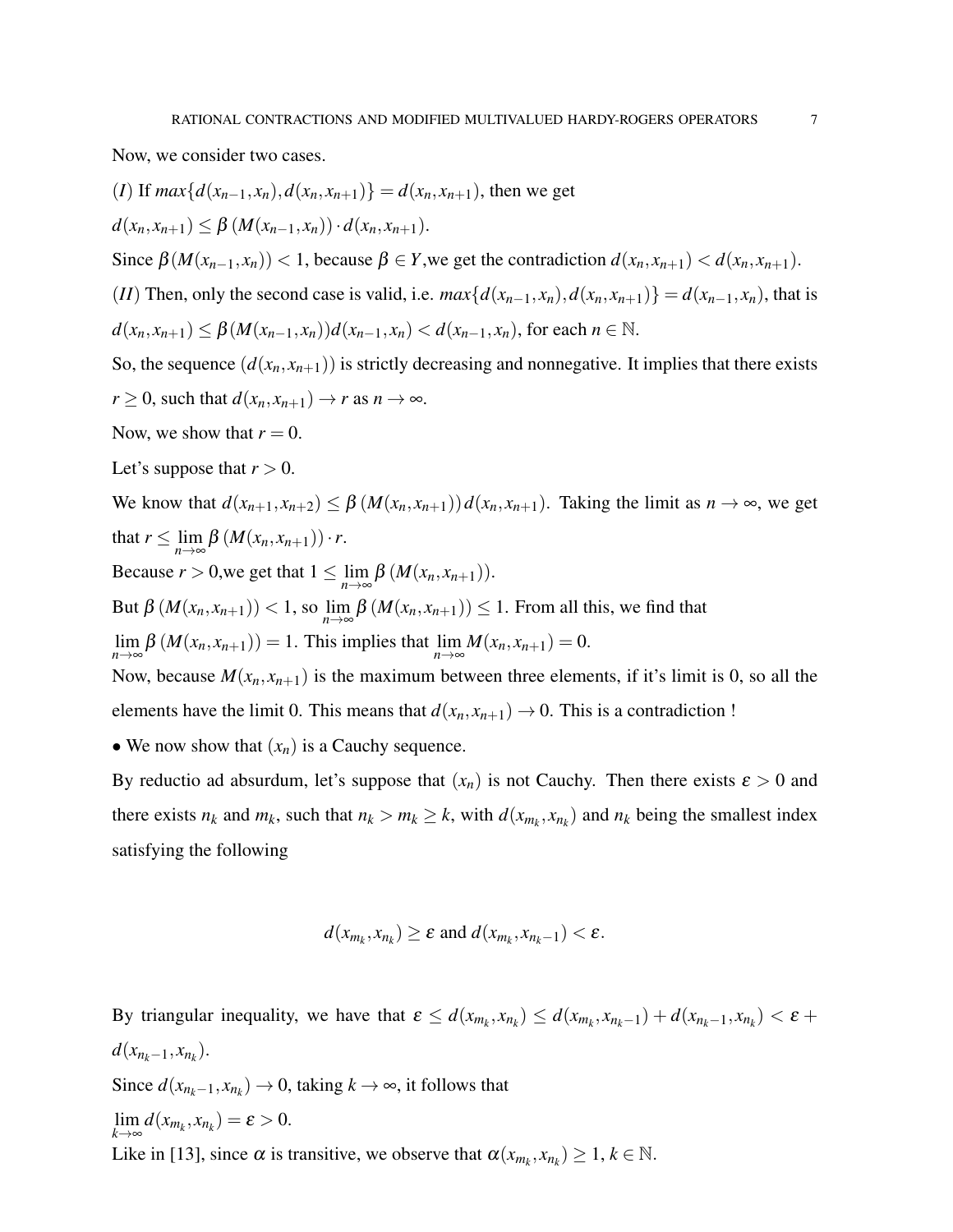Now, we consider two cases.

\n- (*I*) If 
$$
max\{d(x_{n-1},x_n), d(x_n,x_{n+1})\} = d(x_n,x_{n+1})
$$
, then we get  $d(x_n,x_{n+1}) \leq \beta \left(M(x_{n-1},x_n)\right) \cdot d(x_n,x_{n+1})$ .
\n- Since  $\beta(M(x_{n-1},x_n)) < 1$ , because  $\beta \in Y$ , we get the contradiction  $d(x_n,x_{n+1}) < d(x_n,x_{n+1})$ .
\n- (*II*) Then, only the second case is valid, i.e.  $max\{d(x_{n-1},x_n), d(x_n,x_{n+1})\} = d(x_{n-1},x_n)$ , that is  $d(x_n,x_{n+1}) \leq \beta \left(M(x_{n-1},x_n)\right) d(x_{n-1},x_n) < d(x_{n-1},x_n)$ , for each  $n \in \mathbb{N}$ .
\n- So, the sequence  $(d(x_n,x_{n+1}))$  is strictly decreasing and nonnegative. It implies that there exists  $r \geq 0$ , such that  $d(x_n,x_{n+1}) \to r$  as  $n \to \infty$ .
\n- Now, we show that  $r = 0$ .
\n- Let's suppose that  $r > 0$ .
\n

We know that 
$$
d(x_{n+1}, x_{n+2}) \leq \beta (M(x_n, x_{n+1})) d(x_n, x_{n+1})
$$
. Taking the limit as  $n \to \infty$ , we get  
that  $r \leq \lim_{n \to \infty} \beta (M(x_n, x_{n+1})) \cdot r$ .  
Because  $r > 0$ , we get that  $1 \leq \lim_{n \to \infty} \beta (M(x_n, x_{n+1}))$ .  
But  $\beta (M(x_n, x_{n+1})) < 1$ , so  $\lim_{n \to \infty} \beta (M(x_n, x_{n+1})) \leq 1$ . From all this, we find that  
 $\lim_{n \to \infty} \beta (M(x_n, x_{n+1})) = 1$ . This implies that  $\lim_{n \to \infty} M(x_n, x_{n+1}) = 0$ .

Now, because  $M(x_n, x_{n+1})$  is the maximum between three elements, if it's limit is 0, so all the elements have the limit 0. This means that  $d(x_n, x_{n+1}) \rightarrow 0$ . This is a contradiction !

• We now show that  $(x_n)$  is a Cauchy sequence.

By reductio ad absurdum, let's suppose that  $(x_n)$  is not Cauchy. Then there exists  $\varepsilon > 0$  and there exists  $n_k$  and  $m_k$ , such that  $n_k > m_k \ge k$ , with  $d(x_{m_k}, x_{n_k})$  and  $n_k$  being the smallest index satisfying the following

$$
d(x_{m_k}, x_{n_k}) \geq \varepsilon
$$
 and  $d(x_{m_k}, x_{n_k-1}) < \varepsilon$ .

By triangular inequality, we have that  $\varepsilon \le d(x_{m_k}, x_{n_k}) \le d(x_{m_k}, x_{n_k-1}) + d(x_{n_k-1}, x_{n_k}) < \varepsilon$  +  $d(x_{n_k-1}, x_{n_k}).$ Since  $d(x_{n_k-1}, x_{n_k}) \to 0$ , taking  $k \to \infty$ , it follows that lim  $\lim_{k \to \infty} d(x_{m_k}, x_{n_k}) = \varepsilon > 0.$ Like in [13], since  $\alpha$  is transitive, we observe that  $\alpha(x_{m_k}, x_{n_k}) \geq 1, k \in \mathbb{N}$ .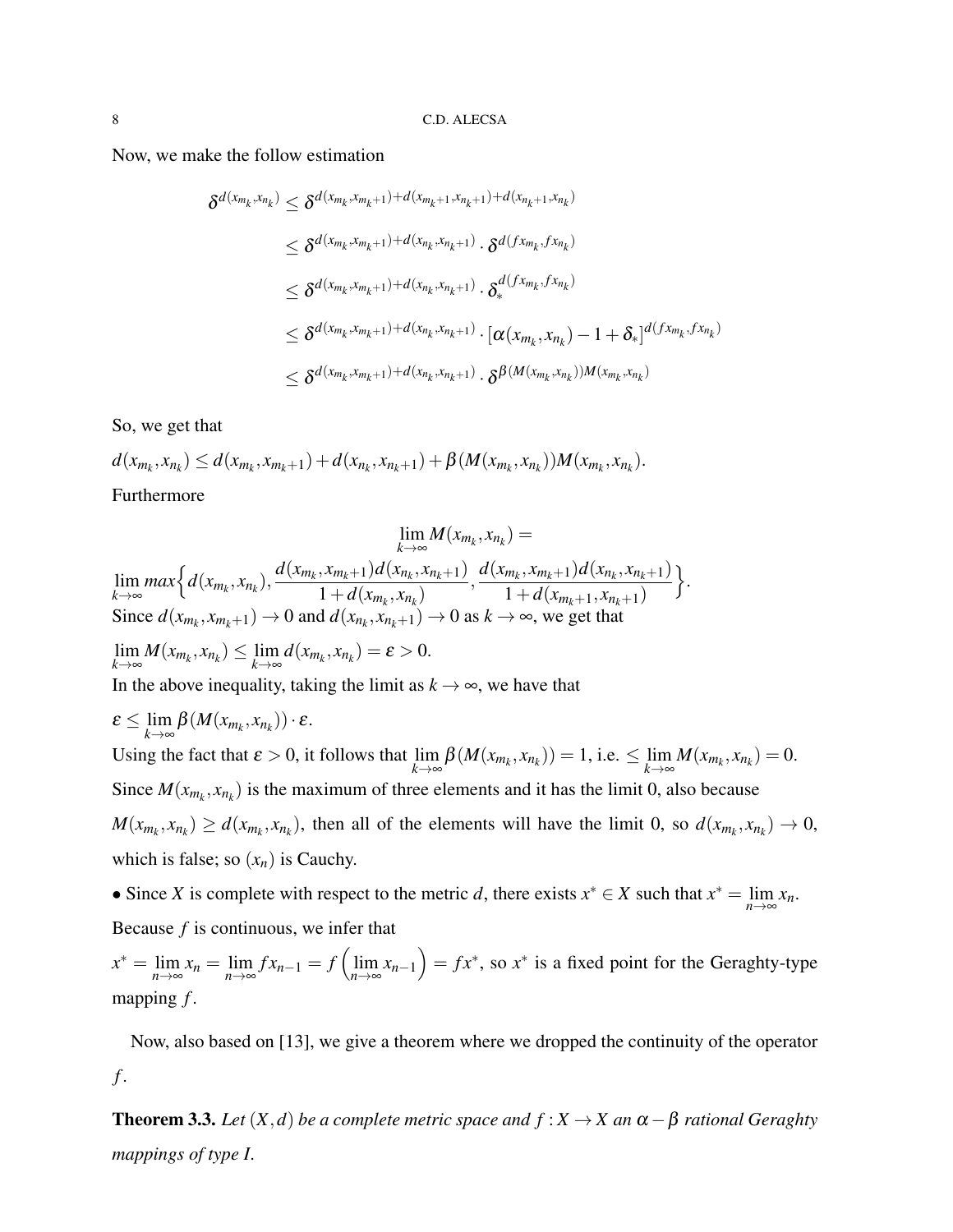Now, we make the follow estimation

$$
\delta^{d(x_{m_k},x_{n_k})} \leq \delta^{d(x_{m_k},x_{m_k+1})+d(x_{m_k+1},x_{n_k+1})+d(x_{n_k+1},x_{n_k})}
$$
\n
$$
\leq \delta^{d(x_{m_k},x_{m_k+1})+d(x_{n_k},x_{n_k+1})} \cdot \delta^{d(fx_{m_k},fx_{n_k})}
$$
\n
$$
\leq \delta^{d(x_{m_k},x_{m_k+1})+d(x_{n_k},x_{n_k+1})} \cdot \delta^{d(fx_{m_k},fx_{n_k})}
$$
\n
$$
\leq \delta^{d(x_{m_k},x_{m_k+1})+d(x_{n_k},x_{n_k+1})} \cdot [\alpha(x_{m_k},x_{n_k})-1+\delta_*]^{d(fx_{m_k},fx_{n_k})}
$$
\n
$$
\leq \delta^{d(x_{m_k},x_{m_k+1})+d(x_{n_k},x_{n_k+1})} \cdot \delta^{\beta(M(x_{m_k},x_{n_k}))M(x_{m_k},x_{n_k})}
$$

So, we get that

 $d(x_{m_k},x_{n_k}) \leq d(x_{m_k},x_{m_k+1}) + d(x_{n_k},x_{n_k+1}) + \beta(M(x_{m_k},x_{n_k}))M(x_{m_k},x_{n_k}).$ Furthermore

$$
\lim_{k \to \infty} M(x_{m_k}, x_{n_k}) =
$$
\n
$$
\lim_{k \to \infty} \max \Big\{ d(x_{m_k}, x_{n_k}), \frac{d(x_{m_k}, x_{m_k+1})d(x_{n_k}, x_{n_k+1})}{1 + d(x_{m_k}, x_{n_k})}, \frac{d(x_{m_k}, x_{m_k+1})d(x_{n_k}, x_{n_k+1})}{1 + d(x_{m_k+1}, x_{n_k+1})} \Big\}.
$$
\nSince  $d(x_{m_k}, x_{m_k+1}) \to 0$  and  $d(x_{n_k}, x_{n_k+1}) \to 0$  as  $k \to \infty$ , we get that\n
$$
\lim_{k \to \infty} M(x_{m_k}, x_{n_k}) \leq \lim_{k \to \infty} d(x_{m_k}, x_{n_k}) = \varepsilon > 0.
$$
\nIn the above inequality, taking the limit as  $k \to \infty$ , we have that\n
$$
\varepsilon \leq \lim_{k \to \infty} \beta(M(x_{m_k}, x_{n_k})) \cdot \varepsilon.
$$

Using the fact that  $\varepsilon > 0$ , it follows that  $\lim_{k \to \infty} \beta(M(x_{m_k}, x_{n_k})) = 1$ , i.e.  $\leq \lim_{k \to \infty}$  $\lim_{k\to\infty}M(x_{m_k},x_{n_k})=0.$ Since  $M(x_{m_k}, x_{n_k})$  is the maximum of three elements and it has the limit 0, also because  $M(x_{m_k}, x_{n_k}) \ge d(x_{m_k}, x_{n_k})$ , then all of the elements will have the limit 0, so  $d(x_{m_k}, x_{n_k}) \to 0$ , which is false; so  $(x_n)$  is Cauchy.

• Since *X* is complete with respect to the metric *d*, there exists  $x^* \in X$  such that  $x^* = \lim_{n \to \infty} x_n$ . Because *f* is continuous, we infer that

 $x^* = \lim_{n \to \infty} x_n = \lim_{n \to \infty} f x_{n-1} = f\left(\lim_{n \to \infty} x_{n-1}\right) = f x^*$ , so  $x^*$  is a fixed point for the Geraghty-type mapping *f* .

Now, also based on [13], we give a theorem where we dropped the continuity of the operator *f* .

**Theorem 3.3.** *Let*  $(X, d)$  *be a complete metric space and*  $f : X \to X$  *an*  $\alpha - \beta$  *rational Geraghty mappings of type I.*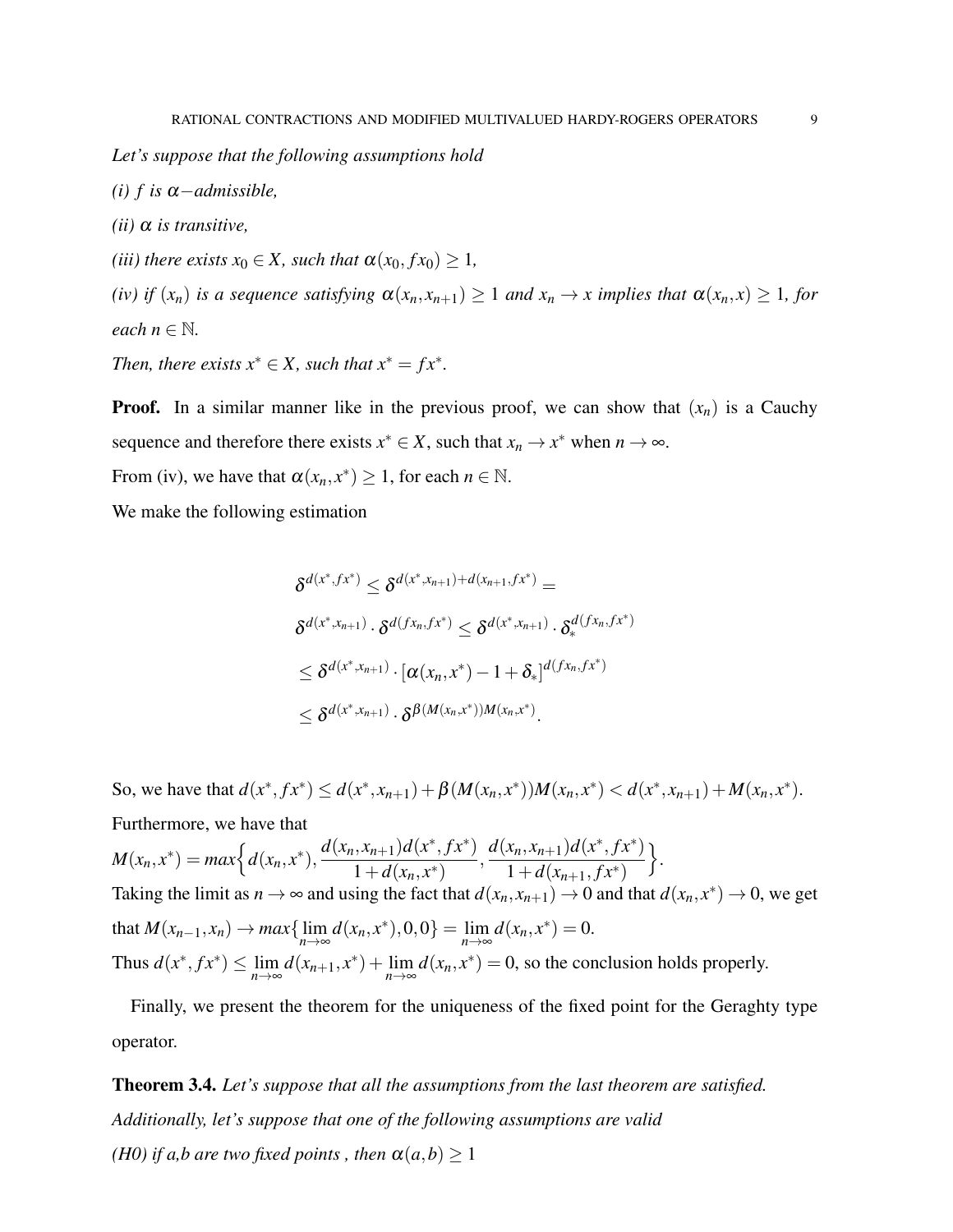*Let's suppose that the following assumptions hold*

- *(i) f is* α−*admissible,*
- *(ii)* α *is transitive,*
- *(iii) there exists*  $x_0 \in X$ *, such that*  $\alpha(x_0, fx_0) \geq 1$ *,*

*(iv) if*  $(x_n)$  *is a sequence satisfying*  $\alpha(x_n, x_{n+1}) \geq 1$  *and*  $x_n \to x$  *implies that*  $\alpha(x_n, x) \geq 1$ *, for each*  $n \in \mathbb{N}$ .

*Then, there exists*  $x^* \in X$ *, such that*  $x^* = fx^*$ *.* 

**Proof.** In a similar manner like in the previous proof, we can show that  $(x_n)$  is a Cauchy sequence and therefore there exists  $x^* \in X$ , such that  $x_n \to x^*$  when  $n \to \infty$ .

From (iv), we have that  $\alpha(x_n, x^*) \ge 1$ , for each  $n \in \mathbb{N}$ .

We make the following estimation

$$
\delta^{d(x^*,fx^*)} \leq \delta^{d(x^*,x_{n+1})+d(x_{n+1},fx^*)} =
$$
  
\n
$$
\delta^{d(x^*,x_{n+1})} \cdot \delta^{d(fx_n,fx^*)} \leq \delta^{d(x^*,x_{n+1})} \cdot \delta^{d(fx_n,fx^*)}
$$
  
\n
$$
\leq \delta^{d(x^*,x_{n+1})} \cdot [\alpha(x_n,x^*)-1+\delta_*]^{d(fx_n,fx^*)}
$$
  
\n
$$
\leq \delta^{d(x^*,x_{n+1})} \cdot \delta^{\beta(M(x_n,x^*))M(x_n,x^*)}.
$$

So, we have that  $d(x^*, f x^*) \le d(x^*, x_{n+1}) + \beta(M(x_n, x^*))M(x_n, x^*) < d(x^*, x_{n+1}) + M(x_n, x^*)$ . Furthermore, we have that  $M(x_n, x^*) = max \Big\{ d(x_n, x^*) , \frac{d(x_n, x_{n+1}) d(x^*, f x^*)}{1 + d(x_n, x^*)} \Big\}$  $\frac{d(x_n, x_{n+1})d(x^*, fx^*)}{1+d(x_n, x^*)}, \frac{d(x_n, x_{n+1})d(x^*, fx^*)}{1+d(x_{n+1}, fx^*)}$  $1+d(x_{n+1}, fx^*)$  $\big\}$ . Taking the limit as  $n \to \infty$  and using the fact that  $d(x_n, x_{n+1}) \to 0$  and that  $d(x_n, x^*) \to 0$ , we get that  $M(x_{n-1}, x_n) \to max\{\lim_{n \to \infty} d(x_n, x^*), 0, 0\} = \lim_{n \to \infty} d(x_n, x^*) = 0.$ Thus  $d(x^*, fx^*) \leq \lim_{n \to \infty} d(x_{n+1}, x^*) + \lim_{n \to \infty} d(x_n, x^*) = 0$ , so the conclusion holds properly.

Finally, we present the theorem for the uniqueness of the fixed point for the Geraghty type operator.

Theorem 3.4. *Let's suppose that all the assumptions from the last theorem are satisfied. Additionally, let's suppose that one of the following assumptions are valid (H0) if a,b are two fixed points, then*  $\alpha(a,b) \geq 1$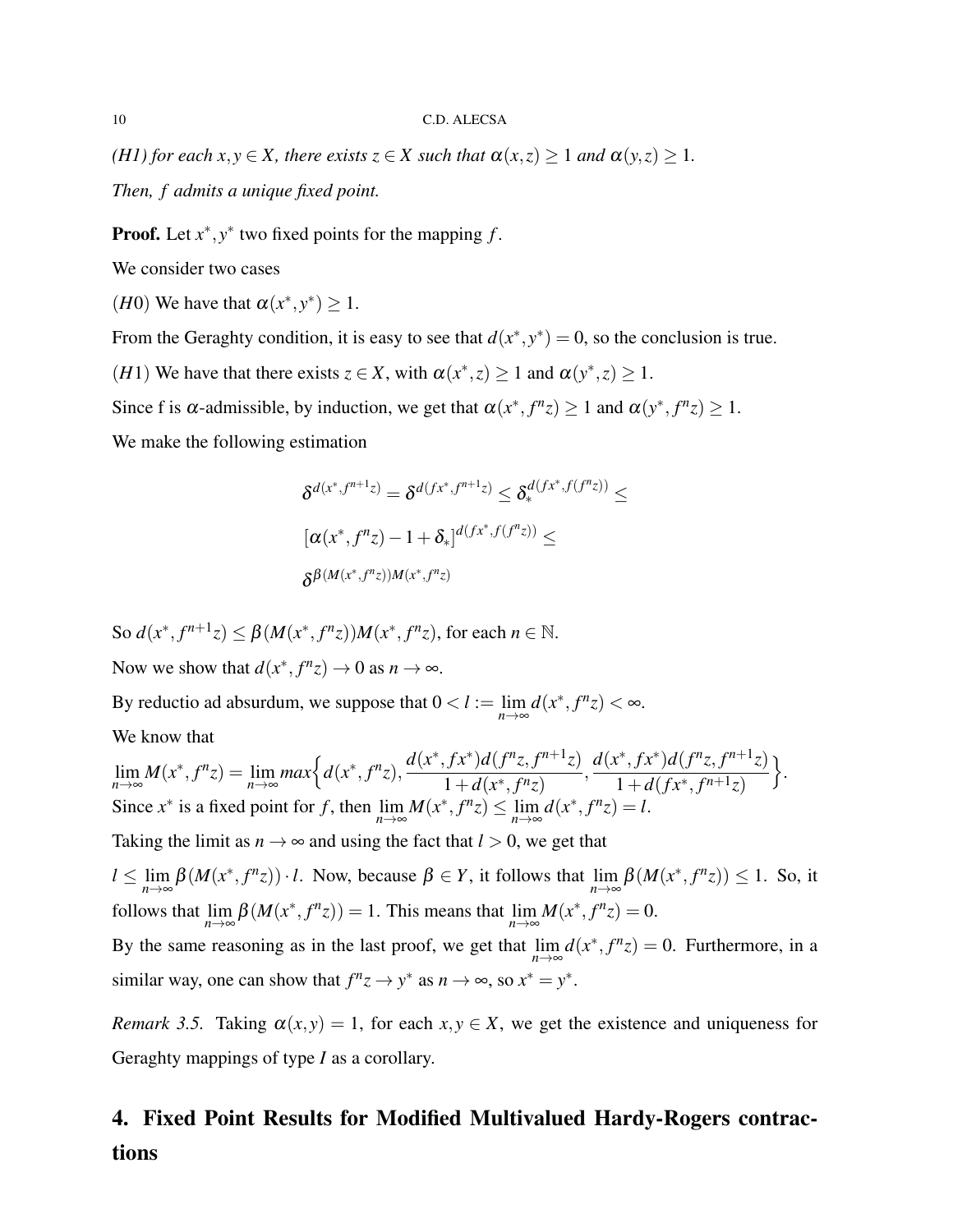*(H1) for each x,y*  $\in$  *X, there exists*  $z \in X$  *such that*  $\alpha(x, z) \ge 1$  *and*  $\alpha(y, z) \ge 1$ *.* 

*Then, f admits a unique fixed point.*

**Proof.** Let  $x^*$ ,  $y^*$  two fixed points for the mapping  $f$ .

We consider two cases

(*H*0) We have that  $\alpha(x^*, y^*) \geq 1$ .

From the Geraghty condition, it is easy to see that  $d(x^*, y^*) = 0$ , so the conclusion is true.

(*H*1) We have that there exists  $z \in X$ , with  $\alpha(x^*, z) \ge 1$  and  $\alpha(y^*, z) \ge 1$ .

Since f is  $\alpha$ -admissible, by induction, we get that  $\alpha(x^*, f^n z) \ge 1$  and  $\alpha(y^*, f^n z) \ge 1$ .

We make the following estimation

$$
\delta^{d(x^*,f^{n+1}z)} = \delta^{d(fx^*,f^{n+1}z)} \leq \delta^{d(fx^*,f(f^{n}z))}_{*} \leq
$$
  

$$
[\alpha(x^*,f^{n}z) - 1 + \delta_*]^{d(fx^*,f(f^{n}z))} \leq
$$
  

$$
\delta^{\beta(M(x^*,f^{n}z))M(x^*,f^{n}z)}
$$

So  $d(x^*, f^{n+1}z) \leq \beta(M(x^*, f^{n}z))M(x^*, f^{n}z)$ , for each  $n \in \mathbb{N}$ . Now we show that  $d(x^*, f^n z) \to 0$  as  $n \to \infty$ .

By reductio ad absurdum, we suppose that  $0 < l := \lim_{n \to \infty} d(x^*, f^n z) < \infty$ . We know that

$$
\lim_{n \to \infty} M(x^*, f^n z) = \lim_{n \to \infty} \max \Big\{ d(x^*, f^n z), \frac{d(x^*, f x^*) d(f^n z, f^{n+1} z)}{1 + d(x^*, f^n z)}, \frac{d(x^*, f x^*) d(f^n z, f^{n+1} z)}{1 + d(f x^*, f^{n+1} z)} \Big\}.
$$
\nSince  $x^*$  is a fixed point for  $f$ , then  $\lim_{n \to \infty} M(x^*, f^n z) \le \lim_{n \to \infty} d(x^*, f^n z) = l$ .

Taking the limit as  $n \to \infty$  and using the fact that  $l > 0$ , we get that

 $l \leq \lim_{n \to \infty} \beta(M(x^*, f^n z)) \cdot l$ . Now, because  $\beta \in Y$ , it follows that  $\lim_{n \to \infty} \beta(M(x^*, f^n z)) \leq 1$ . So, it follows that  $\lim_{n \to \infty} \beta(M(x^*, f^n z)) = 1$ . This means that  $\lim_{n \to \infty} M(x^*, f^n z) = 0$ .

By the same reasoning as in the last proof, we get that  $\lim_{n \to \infty} d(x^*, f^n z) = 0$ . Furthermore, in a similar way, one can show that  $f^n z \to y^*$  as  $n \to \infty$ , so  $x^* = y^*$ .

*Remark 3.5.* Taking  $\alpha(x, y) = 1$ , for each  $x, y \in X$ , we get the existence and uniqueness for Geraghty mappings of type *I* as a corollary.

# 4. Fixed Point Results for Modified Multivalued Hardy-Rogers contractions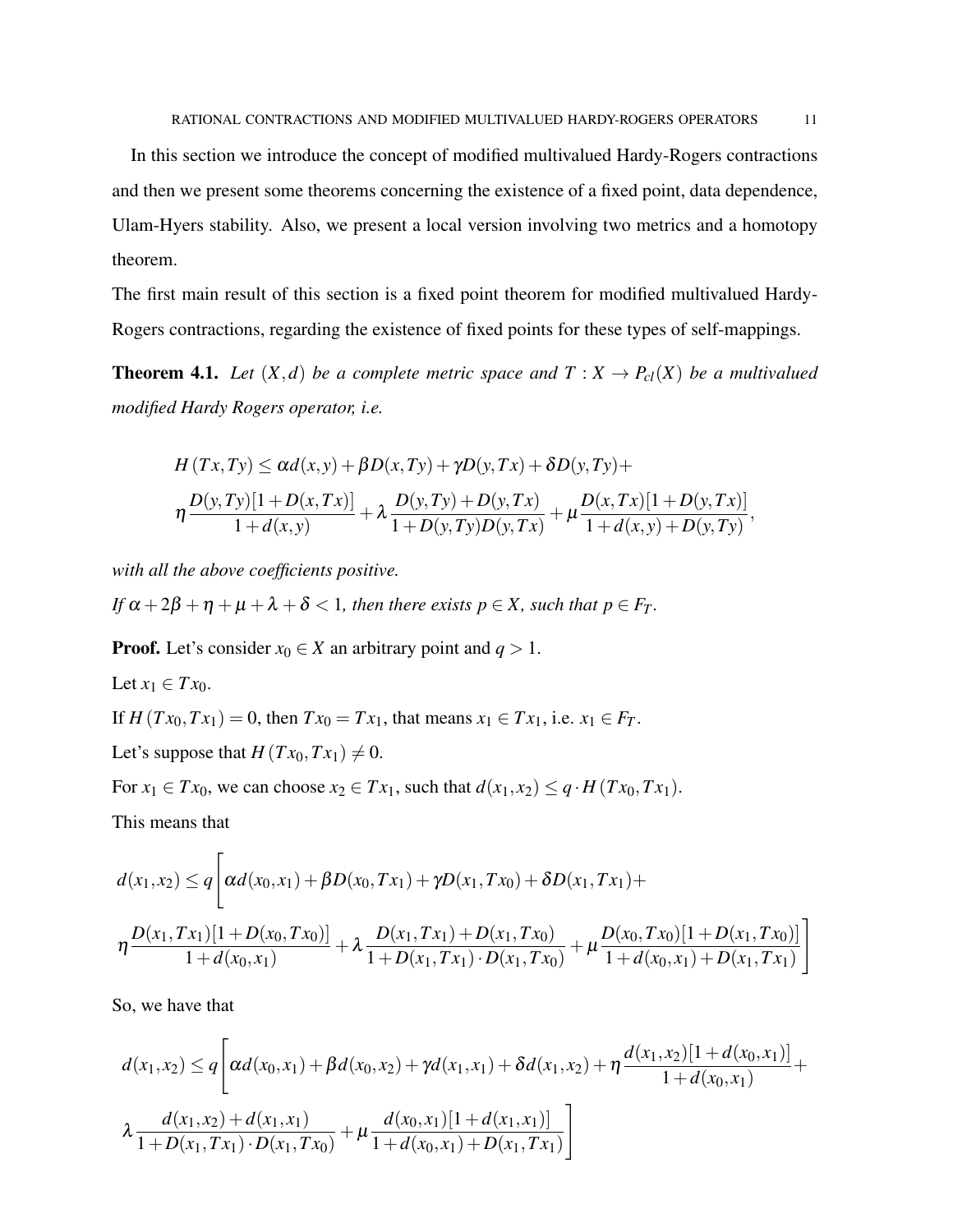In this section we introduce the concept of modified multivalued Hardy-Rogers contractions and then we present some theorems concerning the existence of a fixed point, data dependence, Ulam-Hyers stability. Also, we present a local version involving two metrics and a homotopy theorem.

The first main result of this section is a fixed point theorem for modified multivalued Hardy-Rogers contractions, regarding the existence of fixed points for these types of self-mappings.

**Theorem 4.1.** Let  $(X,d)$  be a complete metric space and  $T: X \to P_{cl}(X)$  be a multivalued *modified Hardy Rogers operator, i.e.*

$$
H(Tx,Ty) \le \alpha d(x,y) + \beta D(x,Ty) + \gamma D(y,Tx) + \delta D(y,Ty) +
$$
  

$$
\eta \frac{D(y,Ty)[1+D(x,Tx)]}{1+d(x,y)} + \lambda \frac{D(y,Ty) + D(y,Tx)}{1+D(y,Ty)D(y,Tx)} + \mu \frac{D(x,Tx)[1+D(y,Tx)]}{1+d(x,y)+D(y,Ty)},
$$

*with all the above coefficients positive.*

*If*  $\alpha + 2\beta + \eta + \mu + \lambda + \delta < 1$ , then there exists  $p \in X$ , such that  $p \in F_T$ .

**Proof.** Let's consider  $x_0 \in X$  an arbitrary point and  $q > 1$ .

Let  $x_1 \in Tx_0$ . If  $H(Tx_0, Tx_1) = 0$ , then  $Tx_0 = Tx_1$ , that means  $x_1 \in Tx_1$ , i.e.  $x_1 \in F_T$ . Let's suppose that  $H(Tx_0, Tx_1) \neq 0$ .

For  $x_1 \in Tx_0$ , we can choose  $x_2 \in Tx_1$ , such that  $d(x_1, x_2) \leq q \cdot H(Tx_0, Tx_1)$ .

This means that

$$
d(x_1,x_2) \leq q \left[ \alpha d(x_0,x_1) + \beta D(x_0,Tx_1) + \gamma D(x_1,Tx_0) + \delta D(x_1,Tx_1) + \n\eta \frac{D(x_1,Tx_1)[1+D(x_0,Tx_0)]}{1+d(x_0,x_1)} + \lambda \frac{D(x_1,Tx_1)+D(x_1,Tx_0)}{1+D(x_1,Tx_1)\cdot D(x_1,Tx_0)} + \mu \frac{D(x_0,Tx_0)[1+D(x_1,Tx_0)]}{1+d(x_0,x_1)+D(x_1,Tx_1)} \right]
$$

So, we have that

$$
d(x_1,x_2) \leq q \left[ \alpha d(x_0,x_1) + \beta d(x_0,x_2) + \gamma d(x_1,x_1) + \delta d(x_1,x_2) + \eta \frac{d(x_1,x_2)[1+d(x_0,x_1)]}{1+d(x_0,x_1)} + \frac{d(x_1,x_2)+d(x_1,x_1)}{1+D(x_1,Tx_1) \cdot D(x_1,Tx_0)} + \mu \frac{d(x_0,x_1)[1+d(x_1,x_1)]}{1+d(x_0,x_1) + D(x_1,Tx_1)} \right]
$$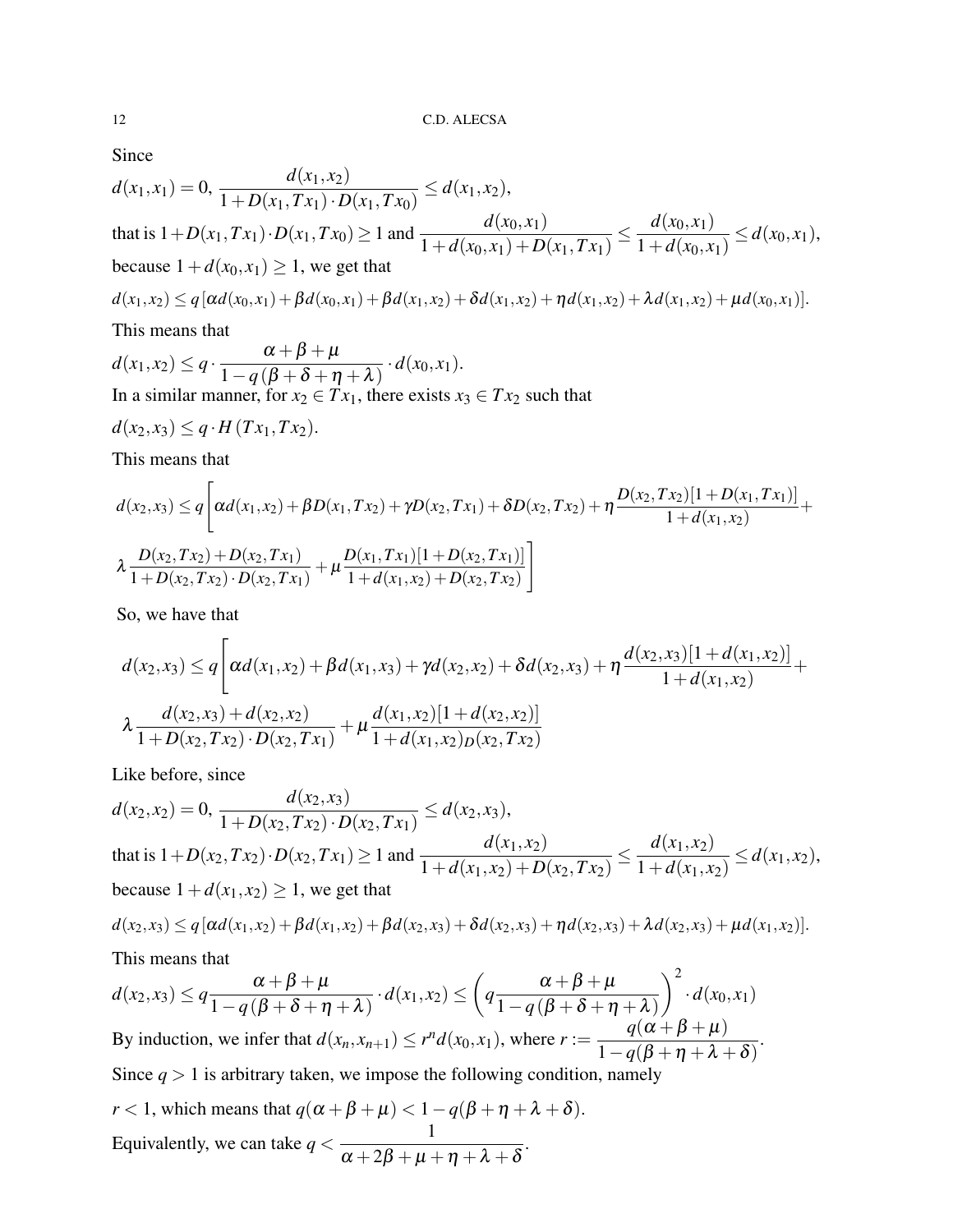Since

$$
d(x_1, x_1) = 0, \frac{d(x_1, x_2)}{1 + D(x_1, Tx_1) \cdot D(x_1, Tx_0)} \le d(x_1, x_2),
$$
  
that is  $1 + D(x_1, Tx_1) \cdot D(x_1, Tx_0) \ge 1$  and 
$$
\frac{d(x_0, x_1)}{1 + d(x_0, x_1) + D(x_1, Tx_1)} \le \frac{d(x_0, x_1)}{1 + d(x_0, x_1)} \le d(x_0, x_1),
$$
  
because  $1 + d(x_0, x_1) \ge 1$ , we get that  

$$
d(x_1, x_2) \le q [\alpha d(x_0, x_1) + \beta d(x_0, x_1) + \beta d(x_1, x_2) + \delta d(x_1, x_2) + \eta d(x_1, x_2) + \lambda d(x_1, x_2) + \mu d(x_0, x_1)].
$$

This means that

 $d(x_1, x_2) \leq q \cdot \frac{\alpha + \beta + \mu}{1 - \alpha(\beta + \beta + x)}$  $\frac{\alpha+p+\mu}{1-q(\beta+\delta+\eta+\lambda)}\cdot d(x_0,x_1).$ In a similar manner, for  $x_2 \in Tx_1$ , there exists  $x_3 \in Tx_2$  such that

$$
d(x_2,x_3) \leq q \cdot H(Tx_1,Tx_2).
$$

This means that

$$
d(x_2,x_3) \leq q \bigg[ \alpha d(x_1,x_2) + \beta D(x_1,Tx_2) + \gamma D(x_2,Tx_1) + \delta D(x_2,Tx_2) + \eta \frac{D(x_2,Tx_2)[1+D(x_1,Tx_1)]}{1+d(x_1,x_2)} + \lambda \frac{D(x_2,Tx_2) + D(x_2,Tx_1)}{1+D(x_2,Tx_2) \cdot D(x_2,Tx_1)} + \mu \frac{D(x_1,Tx_1)[1+D(x_2,Tx_1)]}{1+d(x_1,x_2) + D(x_2,Tx_2)} \bigg]
$$

So, we have that

$$
d(x_2,x_3) \leq q \bigg[ \alpha d(x_1,x_2) + \beta d(x_1,x_3) + \gamma d(x_2,x_2) + \delta d(x_2,x_3) + \eta \frac{d(x_2,x_3)[1+d(x_1,x_2)]}{1+d(x_1,x_2)} + \lambda \frac{d(x_2,x_3) + d(x_2,x_2)}{1+D(x_2,Tx_2) \cdot D(x_2,Tx_1)} + \mu \frac{d(x_1,x_2)[1+d(x_2,x_2)]}{1+d(x_1,x_2)D(x_2,Tx_2)}
$$

Like before, since

$$
d(x_2, x_2) = 0, \frac{d(x_2, x_3)}{1 + D(x_2, Tx_2) \cdot D(x_2, Tx_1)} \le d(x_2, x_3),
$$
  
that is  $1 + D(x_2, Tx_2) \cdot D(x_2, Tx_1) \ge 1$  and 
$$
\frac{d(x_1, x_2)}{1 + d(x_1, x_2) + D(x_2, Tx_2)} \le \frac{d(x_1, x_2)}{1 + d(x_1, x_2)} \le d(x_1, x_2),
$$
  
because  $1 + d(x_1, x_2) \ge 1$ , we get that

$$
d(x_2,x_3) \leq q [\alpha d(x_1,x_2) + \beta d(x_1,x_2) + \beta d(x_2,x_3) + \delta d(x_2,x_3) + \eta d(x_2,x_3) + \lambda d(x_2,x_3) + \mu d(x_1,x_2)].
$$

This means that

$$
d(x_2, x_3) \le q \frac{\alpha + \beta + \mu}{1 - q(\beta + \delta + \eta + \lambda)} \cdot d(x_1, x_2) \le \left(q \frac{\alpha + \beta + \mu}{1 - q(\beta + \delta + \eta + \lambda)}\right)^2 \cdot d(x_0, x_1)
$$
  
By induction, we infer that  $d(x_n, x_{n+1}) \le r^n d(x_0, x_1)$ , where  $r := \frac{q(\alpha + \beta + \mu)}{1 - q(\beta + \eta + \lambda + \delta)}$ .  
Since  $q > 1$  is arbitrary taken, we impose the following condition, namely  
 $r < 1$ , which means that  $q(\alpha + \beta + \mu) < 1 - q(\beta + \eta + \lambda + \delta)$ .

$$
r < 1
$$
, which means that  $q(\alpha + \beta + \mu) < 1 - q(p + \eta + \lambda + \delta)$   
Equivalently, we can take  $q < \frac{1}{\alpha + 2\beta + \mu + \eta + \lambda + \delta}$ .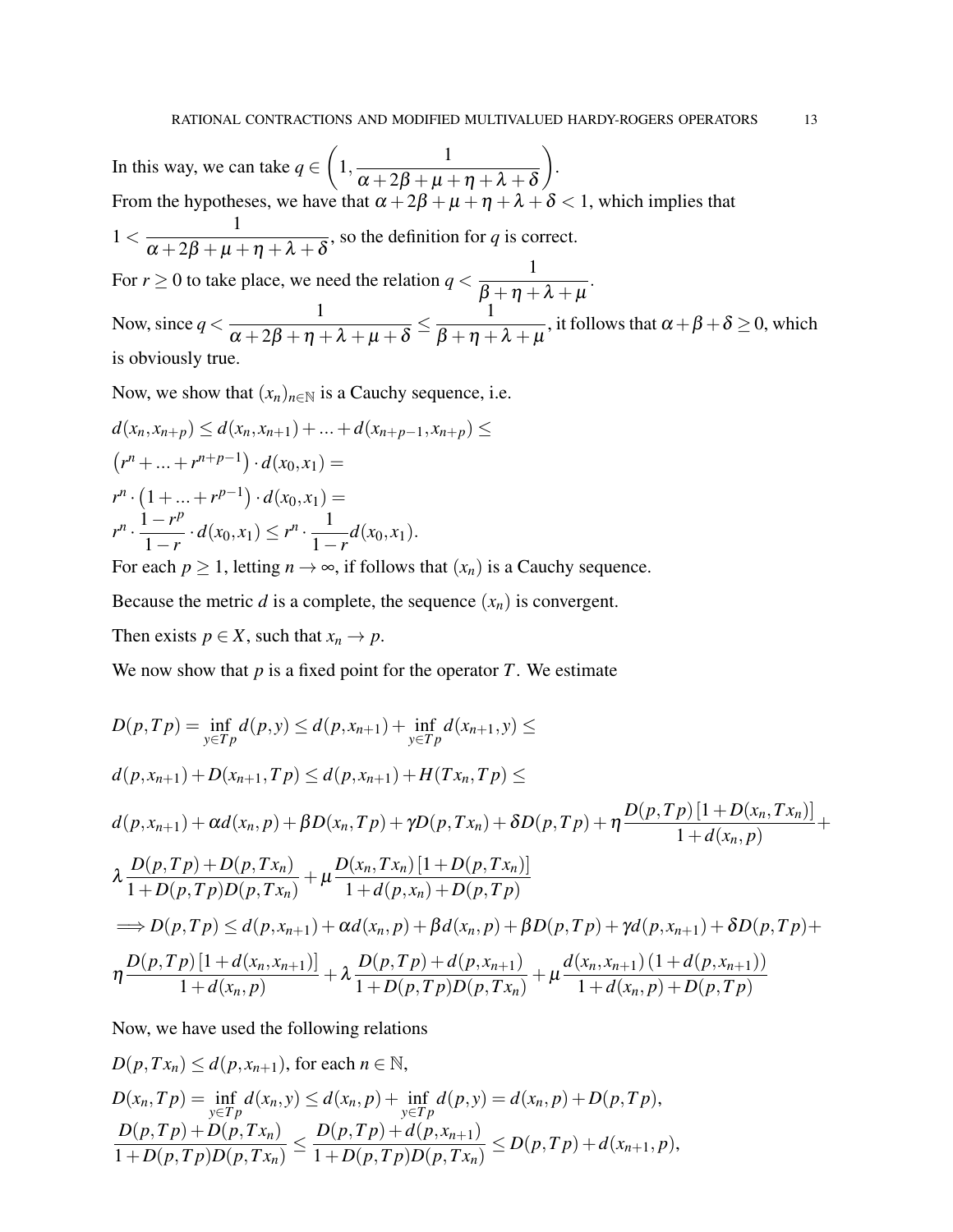In this way, we can take  $q \in$  $\sqrt{ }$  $1, \frac{1}{\sqrt{28} + 2.8 + 1}$  $\alpha+2\beta+\mu+\eta+\lambda+\delta$  $\setminus$ . From the hypotheses, we have that  $\alpha + 2\beta + \mu + \eta + \lambda + \delta < 1$ , which implies that  $1 < \frac{1}{1}$  $\alpha+2\beta+\mu+\eta+\lambda+\delta$ , so the definition for *q* is correct. For  $r \ge 0$  to take place, we need the relation  $q < \frac{1}{\sqrt{2}}$  $\beta+\eta+\lambda+\mu$ . Now, since  $q < \frac{1}{(q+1)^2 + (q+1)^2}$  $\alpha + 2\beta + \eta + \lambda + \mu + \delta$  $\leq \frac{1}{2}$  $\beta+\eta+\lambda+\mu$ , it follows that  $\alpha + \beta + \delta \geq 0,$  which is obviously true.

Now, we show that  $(x_n)_{n \in \mathbb{N}}$  is a Cauchy sequence, i.e.

$$
d(x_n, x_{n+p}) \le d(x_n, x_{n+1}) + \dots + d(x_{n+p-1}, x_{n+p}) \le
$$
  
\n
$$
(r^n + \dots + r^{n+p-1}) \cdot d(x_0, x_1) =
$$
  
\n
$$
r^n \cdot (1 + \dots + r^{p-1}) \cdot d(x_0, x_1) =
$$
  
\n
$$
r^n \cdot \frac{1 - r^p}{1 - r} \cdot d(x_0, x_1) \le r^n \cdot \frac{1}{1 - r} d(x_0, x_1).
$$

For each  $p \ge 1$ , letting  $n \to \infty$ , if follows that  $(x_n)$  is a Cauchy sequence.

Because the metric *d* is a complete, the sequence  $(x_n)$  is convergent.

Then exists  $p \in X$ , such that  $x_n \to p$ .

We now show that  $p$  is a fixed point for the operator  $T$ . We estimate

$$
D(p, Tp) = \inf_{y \in Tp} d(p, y) \le d(p, x_{n+1}) + \inf_{y \in Tp} d(x_{n+1}, y) \le
$$
  
\n
$$
d(p, x_{n+1}) + D(x_{n+1}, Tp) \le d(p, x_{n+1}) + H(Tx_n, Tp) \le
$$
  
\n
$$
d(p, x_{n+1}) + \alpha d(x_n, p) + \beta D(x_n, Tp) + \gamma D(p, Tx_n) + \delta D(p, Tp) + \eta \frac{D(p, Tp)[1 + D(x_n, Tx_n)]}{1 + d(x_n, p)} + \lambda \frac{D(p, Tp) + D(p, Tx_n)}{1 + D(p, Tp)D(p, Tx_n)} + \mu \frac{D(x_n, Tx_n)[1 + D(p, Tx_n)]}{1 + d(p, x_n) + D(p, Tp)}
$$
  
\n
$$
\implies D(p, Tp) \le d(p, x_{n+1}) + \alpha d(x_n, p) + \beta d(x_n, p) + \beta D(p, Tp) + \gamma d(p, x_{n+1}) + \delta D(p, Tp) + \eta \frac{D(p, Tp)[1 + d(x_n, x_{n+1})]}{1 + d(x_n, p)} + \lambda \frac{D(p, Tp) + d(p, x_{n+1})}{1 + D(p, Tp)D(p, Tx_n)} + \mu \frac{d(x_n, x_{n+1})(1 + d(p, x_{n+1}))}{1 + d(x_n, p) + D(p, Tp)}
$$

Now, we have used the following relations

$$
D(p, Tx_n) \le d(p, x_{n+1}), \text{ for each } n \in \mathbb{N},
$$
  
\n
$$
D(x_n, Tp) = \inf_{y \in Tp} d(x_n, y) \le d(x_n, p) + \inf_{y \in Tp} d(p, y) = d(x_n, p) + D(p, Tp),
$$
  
\n
$$
\frac{D(p, Tp) + D(p, Tx_n)}{1 + D(p, Tp)D(p, Tx_n)} \le \frac{D(p, Tp) + d(p, x_{n+1})}{1 + D(p, Tp)D(p, Tx_n)} \le D(p, Tp) + d(x_{n+1}, p),
$$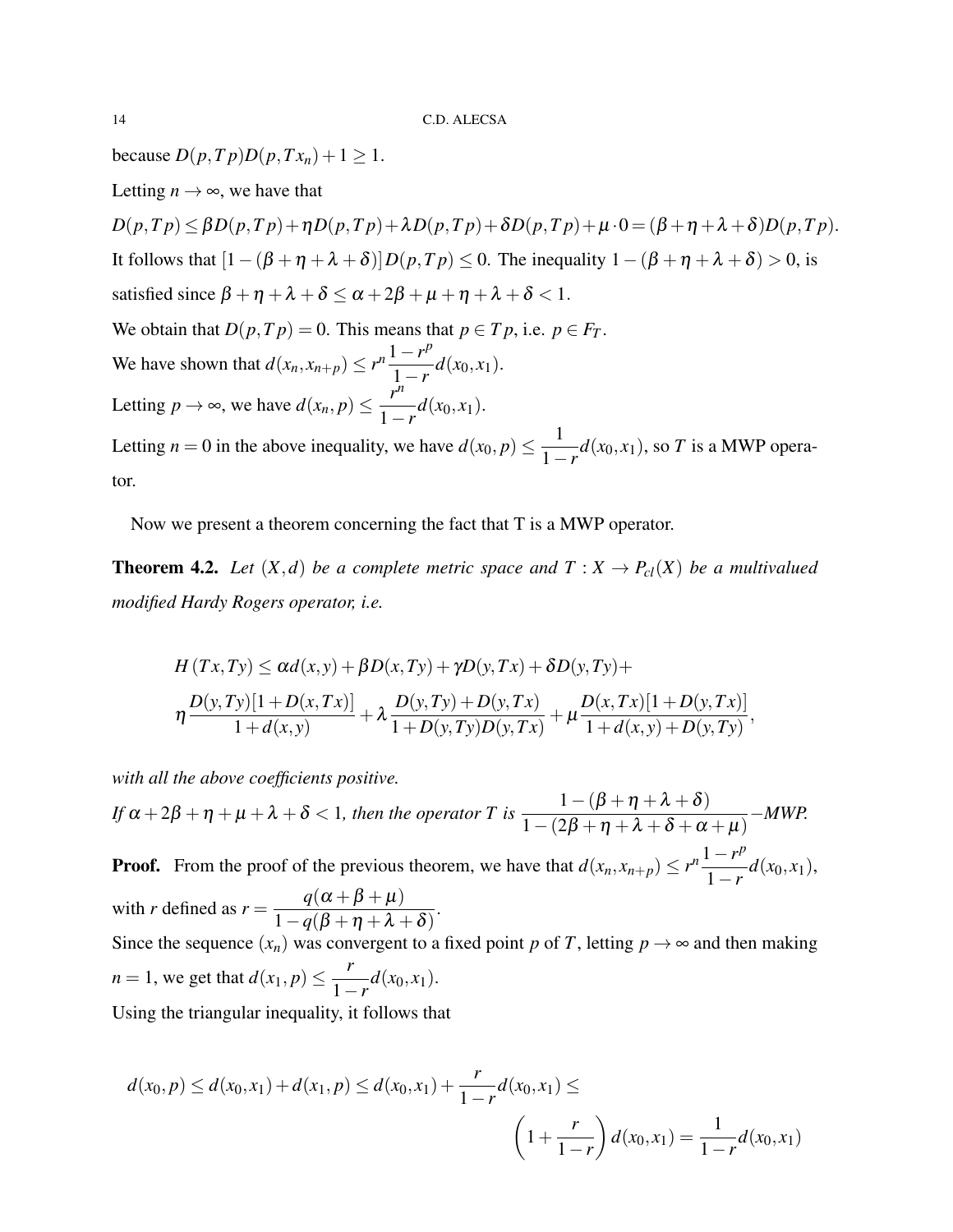*because*  $D(p, T p)D(p, Tx_n) + 1 \ge 1$ .

Letting  $n \to \infty$ , we have that

*D*(*p*,*Tp*) ≤ *βD*(*p*,*Tp*)+η*D*(*p*,*Tp*)+λ*D*(*p*,*Tp*)+δ*D*(*p*,*Tp*)+μ·0 = (β+η+λ+δ)*D*(*p*,*Tp*). It follows that  $[1-(\beta + \eta + \lambda + \delta)]D(p, T_p) \le 0$ . The inequality  $1-(\beta + \eta + \lambda + \delta) > 0$ , is satisfied since  $\beta + \eta + \lambda + \delta \le \alpha + 2\beta + \mu + \eta + \lambda + \delta < 1$ . We obtain that  $D(p, Tp) = 0$ . This means that  $p \in Tp$ , i.e.  $p \in F_T$ . We have shown that  $d(x_n, x_{n+p}) \le r^n \frac{1-r^p}{1-r^p}$  $\frac{1}{1-r}$ *d*(*x*<sub>0</sub>, *x*<sub>1</sub>). Letting  $p \to \infty$ , we have  $d(x_n, p) \leq \frac{r^n}{1-r}$  $\int \frac{1-r}{1-r} d(x_0, x_1)$ . Letting  $n = 0$  in the above inequality, we have  $d(x_0, p) \leq \frac{1}{1 - p}$  $\frac{1}{1-r}d(x_0, x_1)$ , so *T* is a MWP operator.

Now we present a theorem concerning the fact that T is a MWP operator.

**Theorem 4.2.** Let  $(X,d)$  be a complete metric space and  $T: X \to P_{cl}(X)$  be a multivalued *modified Hardy Rogers operator, i.e.*

$$
H(Tx,Ty) \le \alpha d(x,y) + \beta D(x,Ty) + \gamma D(y,Tx) + \delta D(y,Ty) +
$$
  
\n
$$
\eta \frac{D(y,Ty)[1+D(x,Tx)]}{1+d(x,y)} + \lambda \frac{D(y,Ty) + D(y,Tx)}{1+D(y,Ty)D(y,Tx)} + \mu \frac{D(x,Tx)[1+D(y,Tx)]}{1+d(x,y)+D(y,Ty)},
$$

*with all the above coefficients positive.*

*If*  $\alpha$  + 2 $\beta$  +  $\eta$  +  $\mu$  +  $\lambda$  +  $\delta$  < 1*, then the operator* T is  $\frac{1-(\beta+\eta+\lambda+\delta)}{1-(2\beta+\eta+\lambda+\delta+\gamma)}$  $1-(2\beta+\eta+\lambda+\delta+\alpha+\mu)$ −*MWP.* **Proof.** From the proof of the previous theorem, we have that  $d(x_n, x_{n+p}) \le r^n \frac{1-r^p}{1-r^p}$  $\frac{1}{1-r}d(x_0,x_1),$ with *r* defined as  $r = \frac{q(\alpha + \beta + \mu)}{1 - (q + \mu)^2}$  $\frac{q(\alpha+\beta+\mu)}{1-q(\beta+\eta+\lambda+\delta)}.$ Since the sequence  $(x_n)$  was convergent to a fixed point *p* of *T*, letting  $p \rightarrow \infty$  and then making *n* = 1, we get that  $d(x_1, p) \leq \frac{r}{1}$  $\int \frac{1}{1-r} d(x_0, x_1)$ . Using the triangular inequality, it follows that

*d*(*x*<sub>0</sub>, *p*) ≤ *d*(*x*<sub>0</sub>, *x*<sub>1</sub>) + *d*(*x*<sub>1</sub>, *p*) ≤ *d*(*x*<sub>0</sub>, *x*<sub>1</sub>) +  $\frac{r}{1-r}$ *d*(*x*<sub>0</sub>, *x*<sub>1</sub>) ≤  $\sqrt{ }$ 1+ *r* 1−*r*  $\int d(x_0, x_1) = \frac{1}{1-r} d(x_0, x_1)$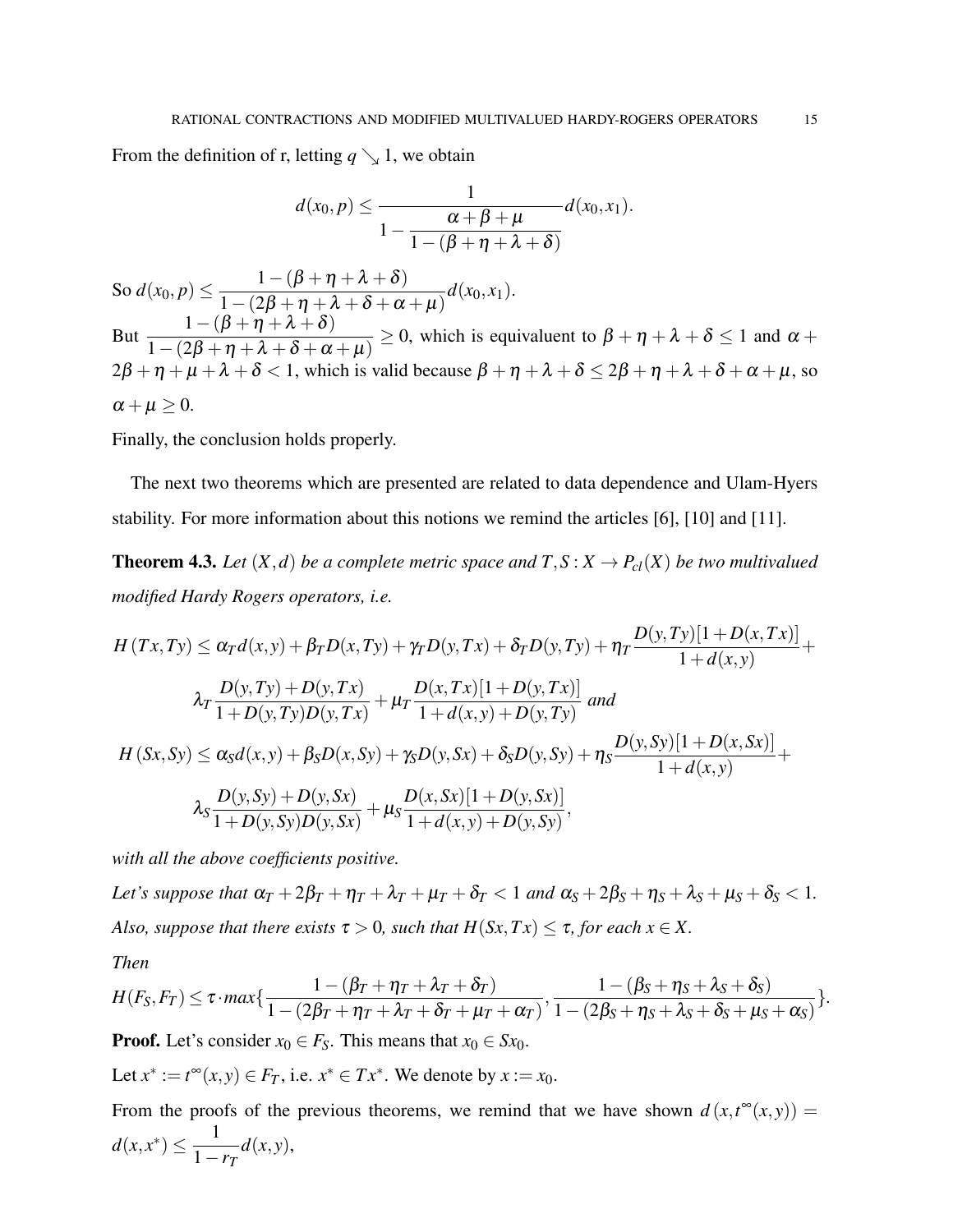From the definition of r, letting  $q \searrow 1$ , we obtain

$$
d(x_0,p) \leq \frac{1}{1-\frac{\alpha+\beta+\mu}{1-(\beta+\eta+\lambda+\delta)}}d(x_0,x_1).
$$

So  $d(x_0, p) \leq$  $1-(\beta+\eta+\lambda+\delta)$  $\frac{1}{1-(2\beta+\eta+\lambda+\delta+\alpha+\mu)}d(x_0,x_1).$ But  $\frac{1-(\beta+\eta+\lambda+\delta)}{1-(\beta+\eta+\lambda+\delta)}$  $1-(2\beta+\eta+\lambda+\delta+\alpha+\mu)$  $\geq 0$ , which is equivaluent to  $\beta + \eta + \lambda + \delta \leq 1$  and  $\alpha + \lambda$  $2\beta + \eta + \mu + \lambda + \delta < 1$ , which is valid because  $\beta + \eta + \lambda + \delta \le 2\beta + \eta + \lambda + \delta + \alpha + \mu$ , so  $\alpha + \mu > 0$ .

Finally, the conclusion holds properly.

The next two theorems which are presented are related to data dependence and Ulam-Hyers stability. For more information about this notions we remind the articles [6], [10] and [11].

**Theorem 4.3.** Let  $(X,d)$  be a complete metric space and  $T, S: X \to P_{cl}(X)$  be two multivalued *modified Hardy Rogers operators, i.e.*

$$
H(Tx,Ty) \le \alpha_T d(x,y) + \beta_T D(x,Ty) + \gamma_T D(y,Tx) + \delta_T D(y,Ty) + \eta_T \frac{D(y,Ty)[1+D(x,Tx)]}{1+d(x,y)} + \frac{D(y,Ty)+D(y,Tx)}{1+D(y,Ty)D(y,Tx)} + \mu_T \frac{D(x,Tx)[1+D(y,Tx)]}{1+d(x,y)+D(y,Ty)} \text{ and}
$$
  
\n
$$
H(Sx, Sy) \le \alpha_S d(x,y) + \beta_S D(x, Sy) + \gamma_S D(y, Sx) + \delta_S D(y, Sy) + \eta_S \frac{D(y, Sy)[1+D(x, Sx)]}{1+d(x,y)} + \lambda_S \frac{D(y, Sy) + D(y, Sx)}{1+D(y, Sy)D(y, Sx)} + \mu_S \frac{D(x, Sx)[1+D(y, Sx)]}{1+d(x,y)+D(y, Sy)},
$$

*with all the above coefficients positive.*

*Let's suppose that*  $\alpha_T + 2\beta_T + \eta_T + \lambda_T + \mu_T + \delta_T < 1$  *and*  $\alpha_S + 2\beta_S + \eta_S + \lambda_S + \mu_S + \delta_S < 1$ *. Also, suppose that there exists*  $\tau > 0$ *, such that*  $H(Sx, Tx) \leq \tau$ *, for each*  $x \in X$ *.* 

*Then*

$$
H(F_S,F_T) \leq \tau \cdot max\left\{\frac{1-(\beta_T+\eta_T+\lambda_T+\delta_T)}{1-(2\beta_T+\eta_T+\lambda_T+\delta_T+\mu_T+\alpha_T)},\frac{1-(\beta_S+\eta_S+\lambda_S+\delta_S)}{1-(2\beta_S+\eta_S+\lambda_S+\delta_S+\mu_S+\alpha_S)}\right\}.
$$

**Proof.** Let's consider  $x_0 \in F_S$ . This means that  $x_0 \in Sx_0$ .

Let  $x^* := t^\infty(x, y) \in F_T$ , i.e.  $x^* \in Tx^*$ . We denote by  $x := x_0$ .

From the proofs of the previous theorems, we remind that we have shown  $d(x,t^{\infty}(x,y)) =$  $d(x, x^*) \leq \frac{1}{1}$ 1−*r<sup>T</sup> d*(*x*, *y*),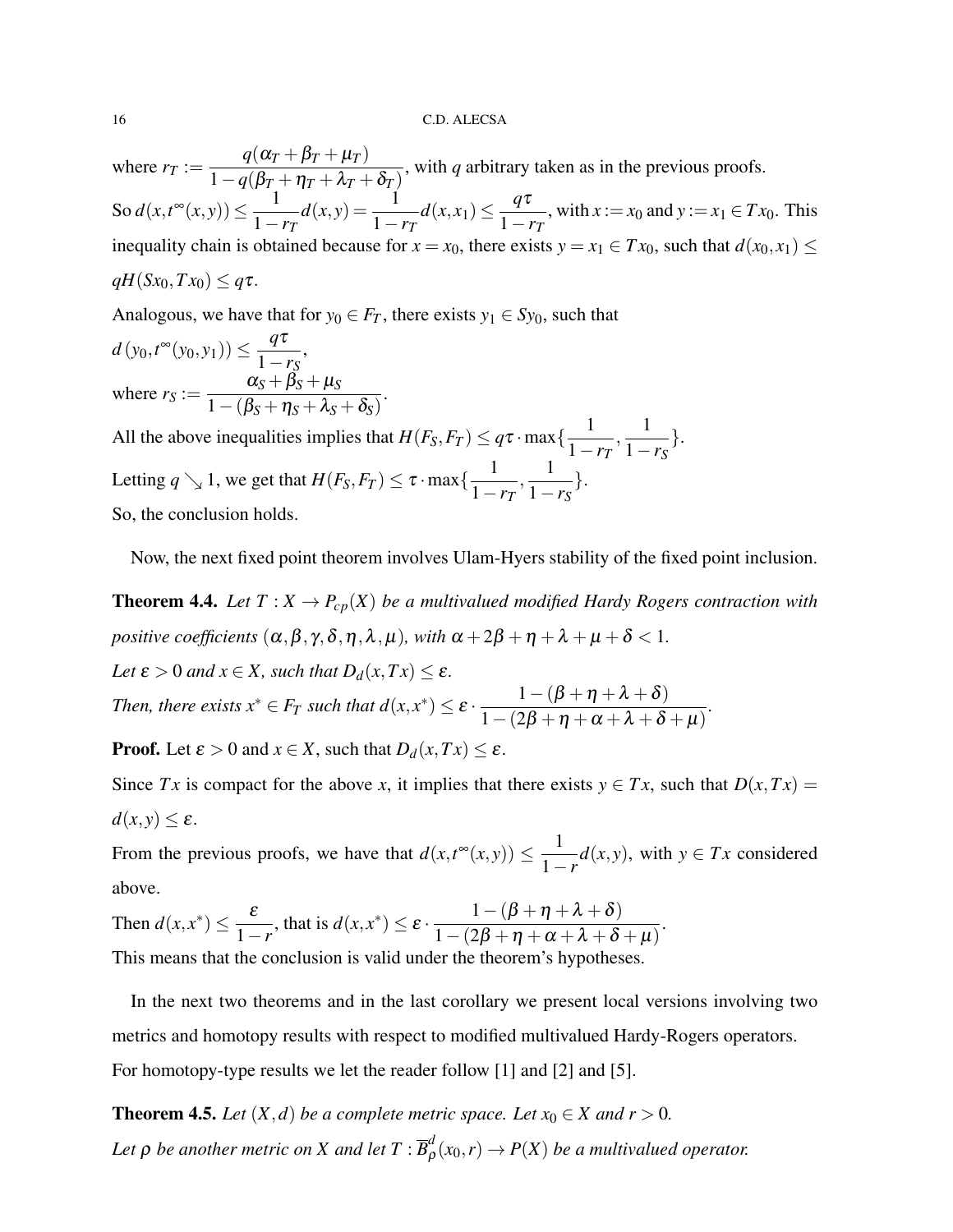where  $r_T :=$  $q(\alpha_T + \beta_T + \mu_T)$  $\frac{q(\omega_I + p_I + \mu_I)}{1-q(\beta_I + \eta_I + \lambda_I + \delta_I)}$ , with *q* arbitrary taken as in the previous proofs.  $\text{So } d(x,t^{\infty}(x,y)) \leq \frac{1}{1}$ 1−*r<sup>T</sup>*  $d(x,y) = \frac{1}{1}$  $\frac{1}{1-r_T}d(x,x_1) \leq \frac{q\tau}{1-r_T}$  $\frac{q^2}{1 - r^2}$ , with *x* := *x*<sub>0</sub> and *y* := *x*<sub>1</sub> ∈ *Tx*<sub>0</sub>. This inequality chain is obtained because for  $x = x_0$ , there exists  $y = x_1 \in Tx_0$ , such that  $d(x_0, x_1) \leq$  $qH(Sx_0, Tx_0) \leq q\tau$ .

Analogous, we have that for  $y_0 \in F_T$ , there exists  $y_1 \in Sy_0$ , such that

$$
d(y_0, t^{\infty}(y_0, y_1)) \le \frac{q\tau}{1 - r_S},
$$
  
where  $r_S := \frac{\alpha_S + \beta_S + \mu_S}{1 - (\beta_S + \eta_S + \lambda_S + \delta_S)}.$   
All the above inequalities implies that  $H(F_S, F_T) <$ 

All the above inequalities implies that  $H(F_S, F_T) \leq q\tau \cdot \max\{\frac{1}{1-\tau}\}$ 1−*r<sup>T</sup>*  $\frac{1}{1}$ 1−*r<sup>S</sup>* }. Letting  $q \searrow 1$ , we get that  $H(F_S, F_T) \leq \tau \cdot \max\{\frac{1}{1-\tau}\}$ 1−*r<sup>T</sup>*  $\frac{1}{1}$ 1−*r<sup>S</sup>* }. So, the conclusion holds.

Now, the next fixed point theorem involves Ulam-Hyers stability of the fixed point inclusion.

**Theorem 4.4.** Let  $T: X \to P_{cp}(X)$  be a multivalued modified Hardy Rogers contraction with *positive coefficients*  $(\alpha, \beta, \gamma, \delta, \eta, \lambda, \mu)$ *, with*  $\alpha + 2\beta + \eta + \lambda + \mu + \delta < 1$ *. Let*  $\varepsilon > 0$  *and*  $x \in X$ *, such that*  $D_d(x, Tx) \leq \varepsilon$ *. Then, there exists*  $x^* \in F_T$  *such that*  $d(x, x^*) \leq \varepsilon$ .  $1-(\beta+\eta+\lambda+\delta)$  $\frac{\rho + \eta + \alpha + \delta}{1 - (2\beta + \eta + \alpha + \lambda + \delta + \mu)}$ .

**Proof.** Let  $\varepsilon > 0$  and  $x \in X$ , such that  $D_d(x, Tx) \le \varepsilon$ .

Since *Tx* is compact for the above *x*, it implies that there exists  $y \in Tx$ , such that  $D(x, Tx) =$  $d(x, y) \leq \varepsilon$ .

From the previous proofs, we have that  $d(x,t^{\infty}(x,y)) \leq \frac{1}{1-t^{\frac{1}{n}}}$ 1−*r*  $d(x, y)$ , with  $y \in Tx$  considered above.

Then  $d(x, x^*) \leq \frac{\varepsilon}{1}$ 1−*r* , that is  $d(x, x^*) \leq \varepsilon$ .  $1-(\beta+\eta+\lambda+\delta)$  $\frac{\rho + \eta + \alpha + \delta}{1 - (2\beta + \eta + \alpha + \lambda + \delta + \mu)}$ . This means that the conclusion is valid under the theorem's hypotheses.

In the next two theorems and in the last corollary we present local versions involving two metrics and homotopy results with respect to modified multivalued Hardy-Rogers operators. For homotopy-type results we let the reader follow [1] and [2] and [5].

**Theorem 4.5.** *Let*  $(X,d)$  *be a complete metric space. Let*  $x_0 \in X$  *and*  $r > 0$ *.* Let  $\rho$  *be another metric on X and let T* :  $\overline{B}^d_\rho$  $P_{\rho}^{a}(x_0,r) \rightarrow P(X)$  *be a multivalued operator.*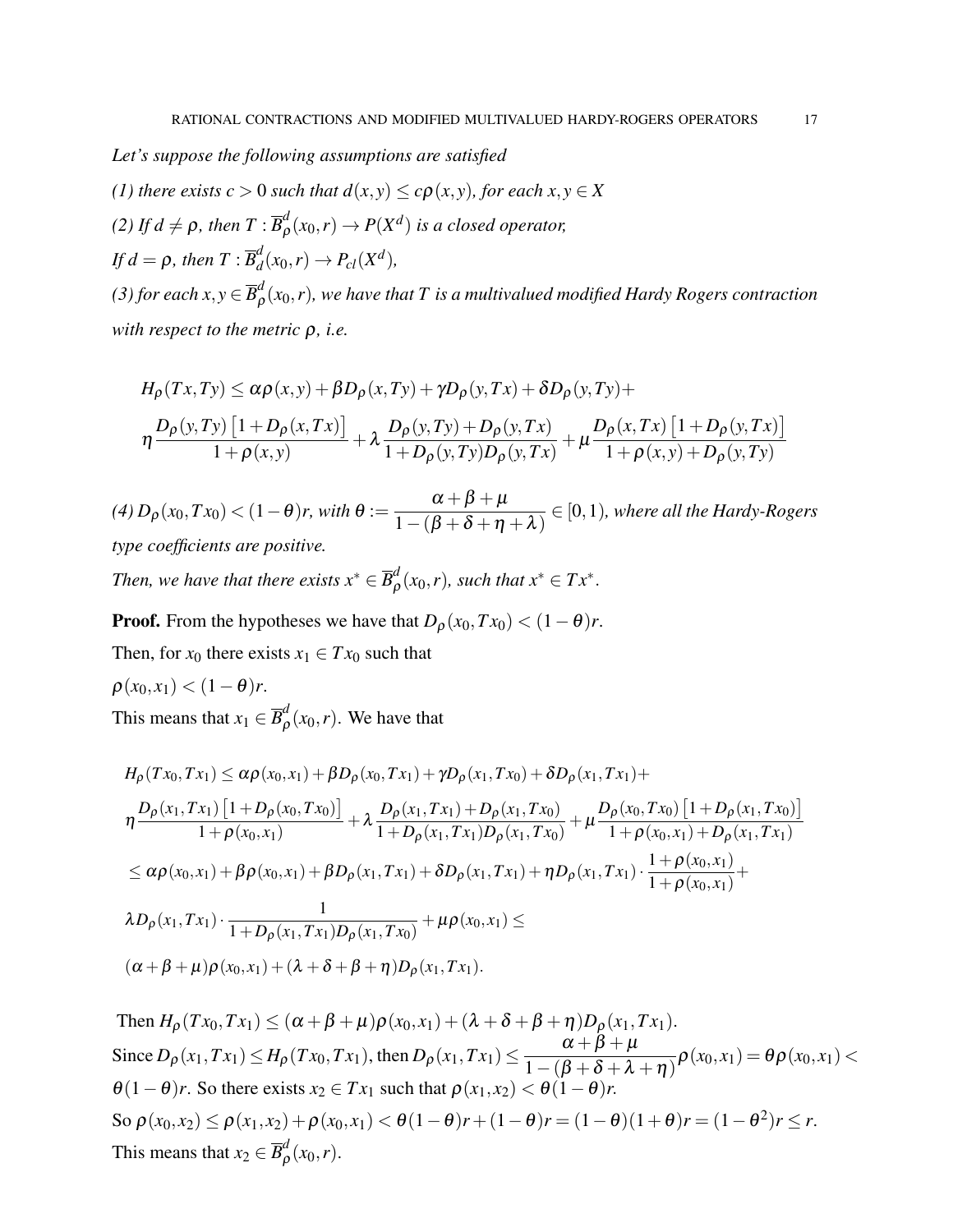*Let's suppose the following assumptions are satisfied*

*(1) there exists c* > 0 *such that*  $d(x, y) \leq c\rho(x, y)$ *, for each x, y*  $\in X$ 

*(2)* If  $d \neq \rho$ , then  $T : \overline{B}_{\rho}^d$  $\int_{\rho}^{d} (x_0, r) \rightarrow P(X^d)$  is a closed operator,

If  $d = \rho$ , then  $T$  :  $\overline{B}_d^d$  $d_{d}^{d}(x_0,r) \rightarrow P_{cl}(X^d)$ ,

*(3) for each*  $x, y \in \overline{B}_o^d$  $_{\bm \rho}^a(\mathbf{x}_0,r)$ , we have that  $T$  is a multivalued modified Hardy Rogers contraction *with respect to the metric* ρ*, i.e.*

$$
H_{\rho}(Tx, Ty) \leq \alpha \rho(x, y) + \beta D_{\rho}(x, Ty) + \gamma D_{\rho}(y, Tx) + \delta D_{\rho}(y, Ty) +
$$
  

$$
\eta \frac{D_{\rho}(y, Ty) [1 + D_{\rho}(x, Tx)]}{1 + \rho(x, y)} + \lambda \frac{D_{\rho}(y, Ty) + D_{\rho}(y, Tx)}{1 + D_{\rho}(y, Ty)D_{\rho}(y, Tx)} + \mu \frac{D_{\rho}(x, Tx) [1 + D_{\rho}(y, Tx)]}{1 + \rho(x, y) + D_{\rho}(y, Ty)}
$$

*(4)*  $D_{\rho}(x_0, Tx_0)$  <  $(1 - \theta)r$ , with  $\theta := \frac{\alpha + \beta + \mu}{1 - (\beta + \beta + r)}$  $1-(\beta+\delta+\eta+\lambda)$ ∈ [0,1)*, where all the Hardy-Rogers type coefficients are positive.*

*Then, we have that there exists*  $x^* \in \overline{B}_o^d$  $_{\rho}^{d}(x_0,r)$ *, such that*  $x^* \in Tx^*$ *.* 

**Proof.** From the hypotheses we have that  $D_{\rho}(x_0, Tx_0) < (1 - \theta)r$ .

Then, for  $x_0$  there exists  $x_1 \in Tx_0$  such that

 $\rho(x_0, x_1) < (1-\theta)r$ .

This means that  $x_1 \in \overline{B}_{\rho}^d$  $\int_{\rho}^{a} (x_0, r)$ . We have that

$$
H_{\rho}(Tx_{0},Tx_{1}) \leq \alpha \rho(x_{0},x_{1}) + \beta D_{\rho}(x_{0},Tx_{1}) + \gamma D_{\rho}(x_{1},Tx_{0}) + \delta D_{\rho}(x_{1},Tx_{1}) +
$$
\n
$$
\eta \frac{D_{\rho}(x_{1},Tx_{1}) [1 + D_{\rho}(x_{0},Tx_{0})]}{1 + \rho(x_{0},x_{1})} + \lambda \frac{D_{\rho}(x_{1},Tx_{1}) + D_{\rho}(x_{1},Tx_{0})}{1 + D_{\rho}(x_{1},Tx_{1})D_{\rho}(x_{1},Tx_{0})} + \mu \frac{D_{\rho}(x_{0},Tx_{0}) [1 + D_{\rho}(x_{1},Tx_{0})]}{1 + \rho(x_{0},x_{1}) + D_{\rho}(x_{1},Tx_{1})}
$$
\n
$$
\leq \alpha \rho(x_{0},x_{1}) + \beta \rho(x_{0},x_{1}) + \beta D_{\rho}(x_{1},Tx_{1}) + \delta D_{\rho}(x_{1},Tx_{1}) + \eta D_{\rho}(x_{1},Tx_{1}) \cdot \frac{1 + \rho(x_{0},x_{1})}{1 + \rho(x_{0},x_{1})} +
$$
\n
$$
\lambda D_{\rho}(x_{1},Tx_{1}) \cdot \frac{1}{1 + D_{\rho}(x_{1},Tx_{1})D_{\rho}(x_{1},Tx_{0})} + \mu \rho(x_{0},x_{1}) \leq
$$
\n
$$
(\alpha + \beta + \mu)\rho(x_{0},x_{1}) + (\lambda + \delta + \beta + \eta)D_{\rho}(x_{1},Tx_{1}).
$$

Then  $H_{\rho}(Tx_0, Tx_1) \leq (\alpha + \beta + \mu)\rho(x_0, x_1) + (\lambda + \delta + \beta + \eta)D_{\rho}(x_1, Tx_1).$  $\text{Since } D_{\rho}(x_1, Tx_1) \leq H_{\rho}(Tx_0, Tx_1), \text{ then } D_{\rho}(x_1, Tx_1) \leq \frac{\alpha + \beta + \mu}{1 - (\beta + \beta + \beta)}$  $\frac{\alpha+\beta+\mu}{1-(\beta+\delta+\lambda+\eta)}\rho(x_0,x_1)=\theta\rho(x_0,x_1)<$  $\theta(1-\theta)r$ . So there exists  $x_2 \in Tx_1$  such that  $\rho(x_1, x_2) < \theta(1-\theta)$  $\text{So } \rho(x_0, x_2) \leq \rho(x_1, x_2) + \rho(x_0, x_1) < \theta(1-\theta)r + (1-\theta)r = (1-\theta)(1+\theta)r = (1-\theta^2)r \leq r.$ This means that  $x_2 \in \overline{B}_{\rho}^d$  $_{\rho}^{\alpha}(x_0,r)$ .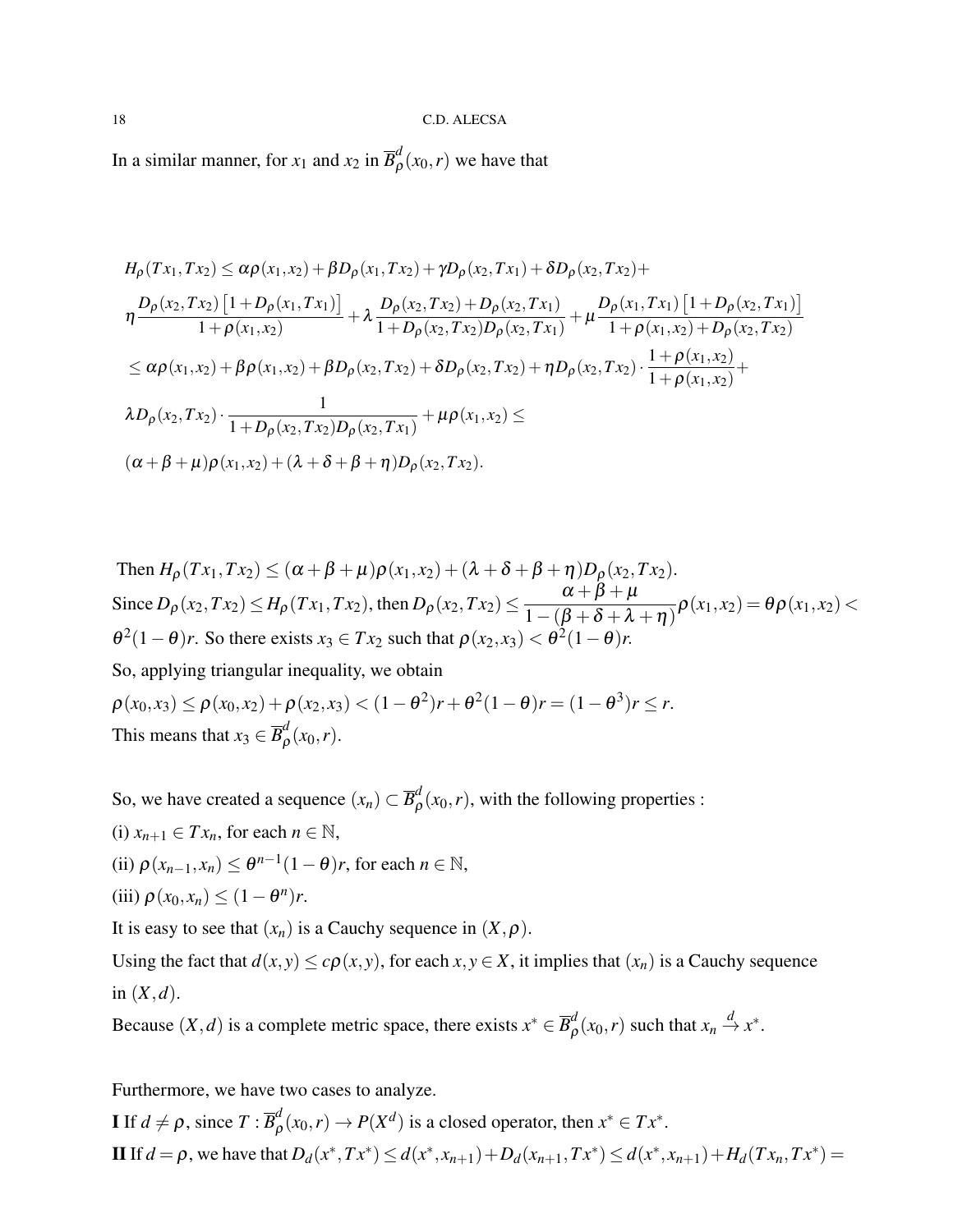In a similar manner, for  $x_1$  and  $x_2$  in  $\overline{B}^d_\rho$  $_{\rho}^{a}(x_0,r)$  we have that

$$
H_{\rho}(Tx_1, Tx_2) \leq \alpha \rho(x_1, x_2) + \beta D_{\rho}(x_1, Tx_2) + \gamma D_{\rho}(x_2, Tx_1) + \delta D_{\rho}(x_2, Tx_2) +
$$
  
\n
$$
\eta \frac{D_{\rho}(x_2, Tx_2) [1 + D_{\rho}(x_1, Tx_1)]}{1 + \rho(x_1, x_2)} + \lambda \frac{D_{\rho}(x_2, Tx_2) + D_{\rho}(x_2, Tx_1)}{1 + D_{\rho}(x_2, Tx_2)D_{\rho}(x_2, Tx_1)} + \mu \frac{D_{\rho}(x_1, Tx_1) [1 + D_{\rho}(x_2, Tx_1)]}{1 + \rho(x_1, x_2) + D_{\rho}(x_2, Tx_2)}
$$
  
\n
$$
\leq \alpha \rho(x_1, x_2) + \beta \rho(x_1, x_2) + \beta D_{\rho}(x_2, Tx_2) + \delta D_{\rho}(x_2, Tx_2) + \eta D_{\rho}(x_2, Tx_2) \cdot \frac{1 + \rho(x_1, x_2)}{1 + \rho(x_1, x_2)} +
$$
  
\n
$$
\lambda D_{\rho}(x_2, Tx_2) \cdot \frac{1}{1 + D_{\rho}(x_2, Tx_2)D_{\rho}(x_2, Tx_1)} + \mu \rho(x_1, x_2) \leq
$$
  
\n
$$
(\alpha + \beta + \mu) \rho(x_1, x_2) + (\lambda + \delta + \beta + \eta)D_{\rho}(x_2, Tx_2).
$$

Then 
$$
H_{\rho}(Tx_1, Tx_2) \leq (\alpha + \beta + \mu)\rho(x_1, x_2) + (\lambda + \delta + \beta + \eta)D_{\rho}(x_2, Tx_2).
$$
  
\nSince  $D_{\rho}(x_2, Tx_2) \leq H_{\rho}(Tx_1, Tx_2)$ , then  $D_{\rho}(x_2, Tx_2) \leq \frac{\alpha + \beta + \mu}{1 - (\beta + \delta + \lambda + \eta)}\rho(x_1, x_2) = \theta \rho(x_1, x_2) < \theta^2 (1 - \theta)r$ . So there exists  $x_3 \in Tx_2$  such that  $\rho(x_2, x_3) < \theta^2 (1 - \theta)r$ .  
\nSo, applying triangular inequality, we obtain  
\n $\rho(x_0, x_3) \leq \rho(x_0, x_2) + \rho(x_2, x_3) < (1 - \theta^2)r + \theta^2 (1 - \theta)r = (1 - \theta^3)r \leq r$ .  
\nThis means that  $x_3 \in \overline{B}_{\rho}^d(x_0, r)$ .

So, we have created a sequence  $(x_n) \subset \overline{B}_{\rho}^d$  $\int_{\rho}^{a} (x_0, r)$ , with the following properties :

(i)  $x_{n+1} \in Tx_n$ , for each  $n \in \mathbb{N}$ ,

(ii)  $\rho(x_{n-1}, x_n) \leq \theta^{n-1}(1-\theta)r$ , for each  $n \in \mathbb{N}$ ,

(iii) 
$$
\rho(x_0, x_n) \leq (1 - \theta^n)r
$$
.

It is easy to see that  $(x_n)$  is a Cauchy sequence in  $(X, \rho)$ .

Using the fact that  $d(x, y) \leq c\rho(x, y)$ , for each  $x, y \in X$ , it implies that  $(x_n)$  is a Cauchy sequence in  $(X,d)$ .

Because  $(X, d)$  is a complete metric space, there exists  $x^* \in \overline{B}_0^d$  $\frac{d}{\rho}(x_0, r)$  such that  $x_n \stackrel{d}{\to} x^*$ .

Furthermore, we have two cases to analyze.

**I** If  $d \neq \rho$ , since  $T : \overline{B}_{\rho}^d$  $P_{\rho}^{d}(x_0, r) \rightarrow P(X^d)$  is a closed operator, then  $x^* \in Tx^*$ . II If  $d = \rho$ , we have that  $D_d(x^*, Tx^*) \le d(x^*, x_{n+1}) + D_d(x_{n+1}, Tx^*) \le d(x^*, x_{n+1}) + H_d(Tx_n, Tx^*) =$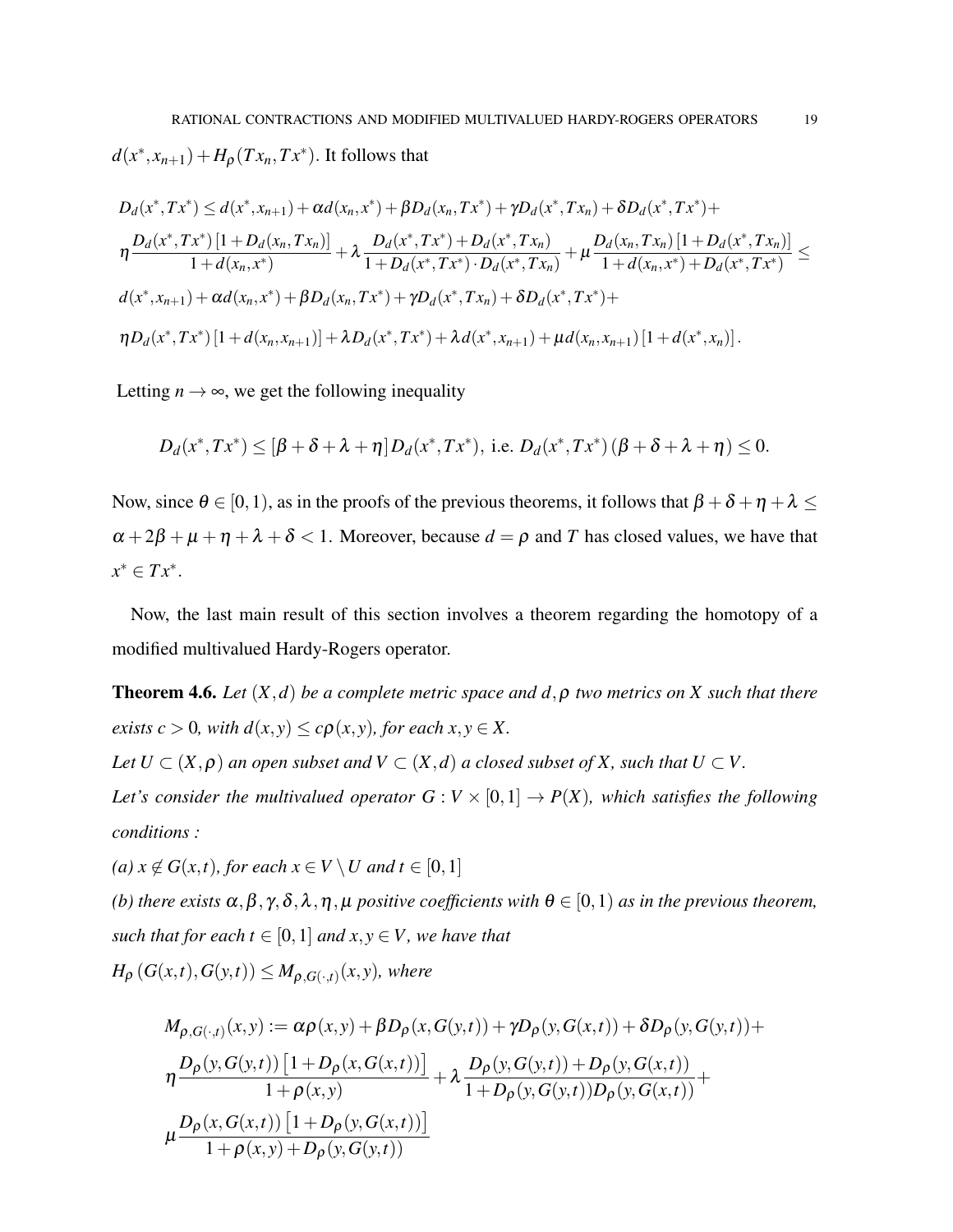$d(x^*, x_{n+1}) + H_\rho(Tx_n, Tx^*)$ . It follows that

$$
D_d(x^*, Tx^*) \leq d(x^*, x_{n+1}) + \alpha d(x_n, x^*) + \beta D_d(x_n, Tx^*) + \gamma D_d(x^*, Tx_n) + \delta D_d(x^*, Tx^*) +
$$
  
\n
$$
\eta \frac{D_d(x^*, Tx^*) [1 + D_d(x_n, Tx_n)]}{1 + d(x_n, x^*)} + \lambda \frac{D_d(x^*, Tx^*) + D_d(x^*, Tx_n)}{1 + D_d(x^*, Tx^*) \cdot D_d(x^*, Tx_n)} + \mu \frac{D_d(x_n, Tx_n) [1 + D_d(x^*, Tx_n)]}{1 + d(x_n, x^*) + D_d(x^*, Tx^*)} \leq
$$
  
\n
$$
d(x^*, x_{n+1}) + \alpha d(x_n, x^*) + \beta D_d(x_n, Tx^*) + \gamma D_d(x^*, Tx_n) + \delta D_d(x^*, Tx^*) +
$$
  
\n
$$
\eta D_d(x^*, Tx^*) [1 + d(x_n, x_{n+1})] + \lambda D_d(x^*, Tx^*) + \lambda d(x^*, x_{n+1}) + \mu d(x_n, x_{n+1}) [1 + d(x^*, x_n)].
$$

Letting  $n \to \infty$ , we get the following inequality

$$
D_d(x^*,Tx^*) \leq [\beta + \delta + \lambda + \eta] D_d(x^*,Tx^*),
$$
 i.e.  $D_d(x^*,Tx^*) (\beta + \delta + \lambda + \eta) \leq 0.$ 

Now, since  $\theta \in [0,1)$ , as in the proofs of the previous theorems, it follows that  $\beta + \delta + \eta + \lambda \leq$  $\alpha + 2\beta + \mu + \eta + \lambda + \delta < 1$ . Moreover, because  $d = \rho$  and T has closed values, we have that *x* <sup>∗</sup> ∈ *T x*<sup>∗</sup> .

Now, the last main result of this section involves a theorem regarding the homotopy of a modified multivalued Hardy-Rogers operator.

**Theorem 4.6.** *Let*  $(X,d)$  *be a complete metric space and d,*  $\rho$  *two metrics on X such that there exists*  $c > 0$ *, with*  $d(x, y) \leq c\rho(x, y)$ *, for each x, y*  $\in X$ *.* 

*Let*  $U \subset (X, \rho)$  *an open subset and*  $V \subset (X, d)$  *a closed subset of* X, *such that*  $U \subset V$ .

*Let's consider the multivalued operator*  $G: V \times [0,1] \rightarrow P(X)$ *, which satisfies the following conditions :*

*(a) x* ∉ *G*(*x*,*t*)*, for each x* ∈ *V*  $\setminus$  *U and t* ∈ [0, 1]

*(b) there exists*  $\alpha, \beta, \gamma, \delta, \lambda, \eta, \mu$  *positive coefficients with*  $\theta \in [0,1)$  *as in the previous theorem, such that for each t*  $\in$  [0, 1] *and x, y*  $\in$  *V, we have that* 

 $H_{\rho}(G(x,t),G(y,t)) \leq M_{\rho,G(\cdot,t)}(x,y)$ , where

$$
M_{\rho,G(\cdot,t)}(x,y) := \alpha \rho(x,y) + \beta D_{\rho}(x,G(y,t)) + \gamma D_{\rho}(y,G(x,t)) + \delta D_{\rho}(y,G(y,t)) +
$$
  
\n
$$
\eta \frac{D_{\rho}(y,G(y,t)) [1 + D_{\rho}(x,G(x,t))] }{1 + \rho(x,y)} + \lambda \frac{D_{\rho}(y,G(y,t)) + D_{\rho}(y,G(x,t))}{1 + D_{\rho}(y,G(y,t))D_{\rho}(y,G(x,t))} +
$$
  
\n
$$
\mu \frac{D_{\rho}(x,G(x,t)) [1 + D_{\rho}(y,G(x,t))]}{1 + \rho(x,y) + D_{\rho}(y,G(y,t))}
$$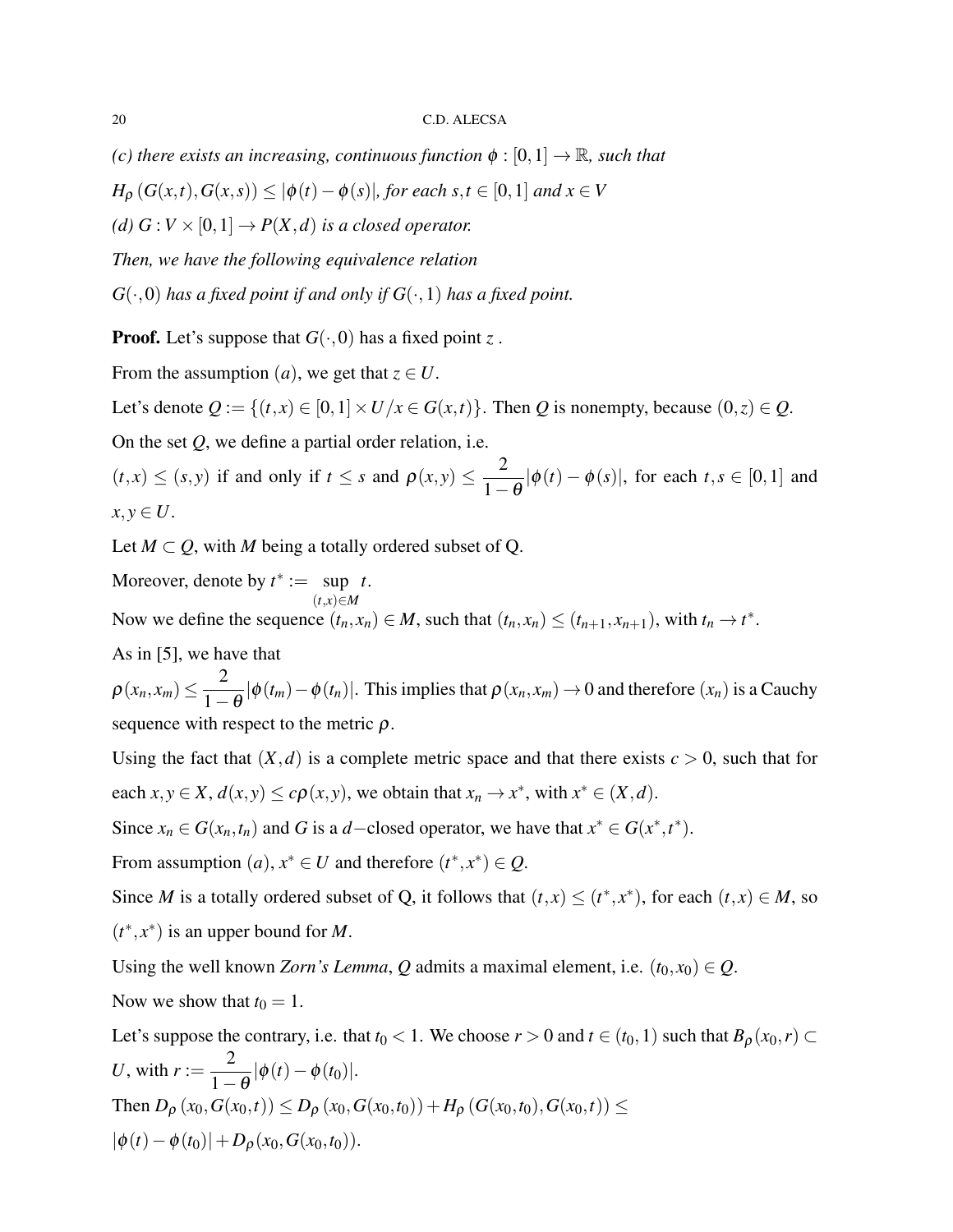*(c) there exists an increasing, continuous function*  $\phi$  :  $[0,1] \rightarrow \mathbb{R}$ *, such that* 

*H*<sub>ρ</sub> (*G*(*x*,*t*),*G*(*x*,*s*)) ≤  $|φ(t) − φ(s)|$ *, for each s*,*t* ∈ [0,1] *and x* ∈ *V* 

*(d)*  $G: V \times [0,1] \rightarrow P(X,d)$  *is a closed operator.* 

*Then, we have the following equivalence relation*

 $G(\cdot,0)$  *has a fixed point if and only if*  $G(\cdot,1)$  *has a fixed point.* 

**Proof.** Let's suppose that  $G(\cdot,0)$  has a fixed point z.

From the assumption  $(a)$ , we get that  $z \in U$ .

Let's denote  $Q := \{(t, x) \in [0, 1] \times U / x \in G(x, t)\}$ . Then *Q* is nonempty, because  $(0, z) \in Q$ .

On the set *Q*, we define a partial order relation, i.e.

 $(t, x) \le (s, y)$  if and only if  $t \le s$  and  $\rho(x, y) \le \frac{2}{1}$  $1-\theta$  $|\phi(t) - \phi(s)|$ , for each  $t, s \in [0, 1]$  and  $x, y \in U$ .

Let  $M \subset Q$ , with M being a totally ordered subset of Q.

Moreover, denote by  $t^* := \sup$ (*t*,*x*)∈*M t*. Now we define the sequence  $(t_n, x_n) \in M$ , such that  $(t_n, x_n) \le (t_{n+1}, x_{n+1})$ , with  $t_n \to t^*$ .

As in [5], we have that

 $\rho(x_n, x_m) \leq \frac{2}{1}$  $1-\theta$  $|\phi(t_m) - \phi(t_n)|$ . This implies that  $\rho(x_n, x_m) \to 0$  and therefore  $(x_n)$  is a Cauchy sequence with respect to the metric  $\rho$ .

Using the fact that  $(X, d)$  is a complete metric space and that there exists  $c > 0$ , such that for each  $x, y \in X$ ,  $d(x, y) \le c\rho(x, y)$ , we obtain that  $x_n \to x^*$ , with  $x^* \in (X, d)$ .

Since  $x_n \in G(x_n, t_n)$  and *G* is a *d*−closed operator, we have that  $x^* \in G(x^*, t^*)$ .

From assumption  $(a)$ ,  $x^* \in U$  and therefore  $(t^*, x^*) \in Q$ .

Since *M* is a totally ordered subset of Q, it follows that  $(t, x) \le (t^*, x^*)$ , for each  $(t, x) \in M$ , so  $(t^*, x^*)$  is an upper bound for *M*.

Using the well known *Zorn's Lemma*, *Q* admits a maximal element, i.e.  $(t_0, x_0) \in Q$ . Now we show that  $t_0 = 1$ .

Let's suppose the contrary, i.e. that  $t_0 < 1$ . We choose  $r > 0$  and  $t \in (t_0, 1)$  such that  $B_\rho(x_0, r) \subset$ *U*, with  $r := \frac{2}{1}$  $\frac{2}{1-\theta}|\phi(t)-\phi(t_0)|.$ Then  $D_{\rho}(x_0, G(x_0,t)) \le D_{\rho}(x_0, G(x_0,t_0)) + H_{\rho}(G(x_0,t_0), G(x_0,t)) \le$  $|\phi(t) - \phi(t_0)| + D_o(x_0, G(x_0, t_0)).$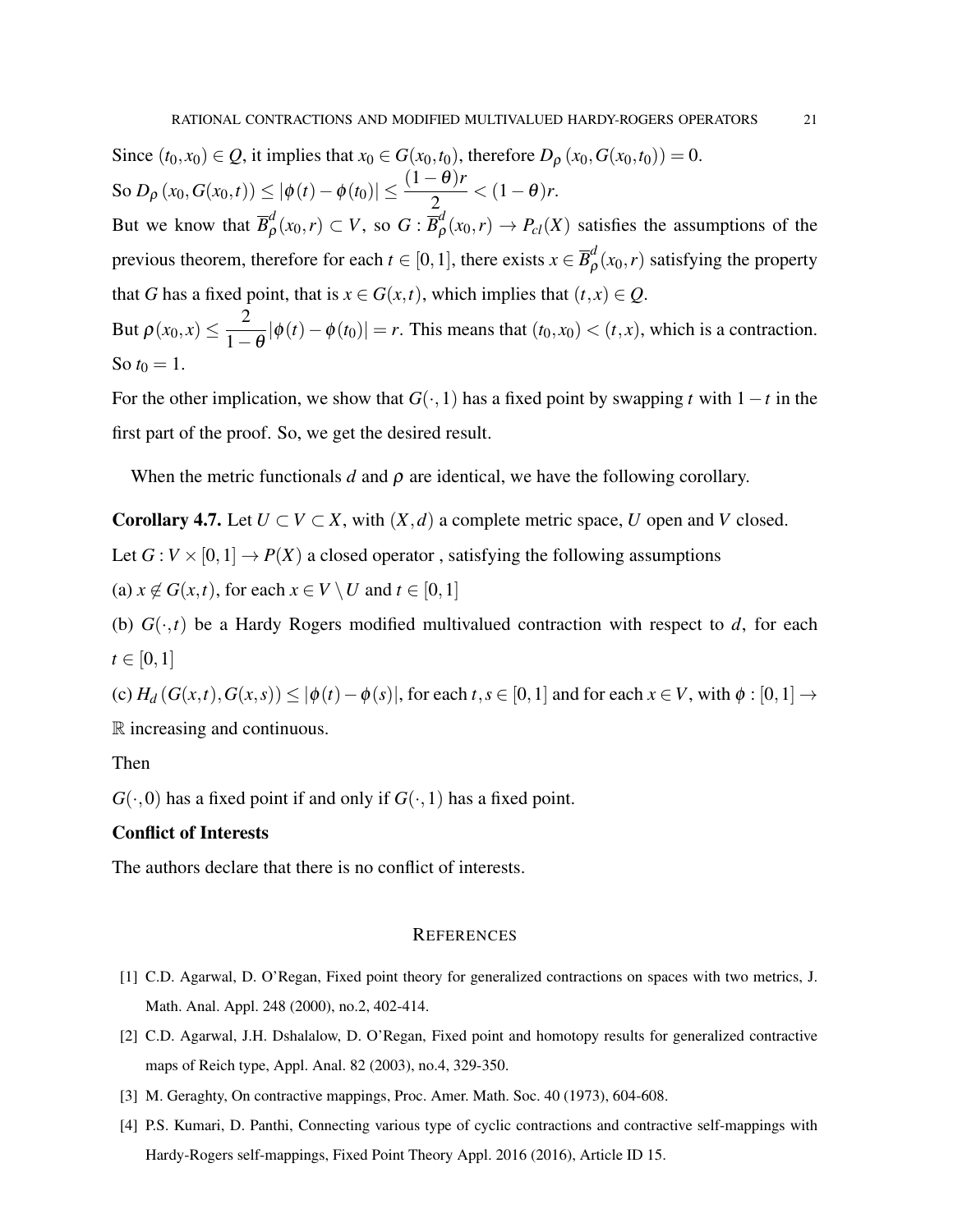Since  $(t_0, x_0) \in Q$ , it implies that  $x_0 \in G(x_0, t_0)$ , therefore  $D_\rho(x_0, G(x_0, t_0)) = 0$ .  $\text{So } D_{\rho} (x_0, G(x_0, t)) \leq |\phi(t) - \phi(t_0)| \leq \frac{(1-\theta)r}{2} < (1-\theta)r.$ But we know that  $\overline{B}_{\rho}^d$  $\frac{d}{\rho}(x_0,r) \subset V$ , so  $G : \overline{B}_{\rho}^d$  $P_{c}(x_0,r) \to P_{c}(X)$  satisfies the assumptions of the previous theorem, therefore for each  $t \in [0,1]$ , there exists  $x \in \overline{B}_\rho^d$  $\int_{\rho}^{u}(x_0,r)$  satisfying the property that *G* has a fixed point, that is  $x \in G(x,t)$ , which implies that  $(t, x) \in Q$ . But  $\rho(x_0, x) \leq \frac{2}{1}$  $\frac{2}{1-\theta}|\phi(t)-\phi(t_0)| = r$ . This means that  $(t_0, x_0) < (t, x)$ , which is a contraction. So  $t_0 = 1$ .

For the other implication, we show that  $G(\cdot,1)$  has a fixed point by swapping *t* with  $1-t$  in the first part of the proof. So, we get the desired result.

When the metric functionals *d* and  $\rho$  are identical, we have the following corollary.

**Corollary 4.7.** Let  $U \subset V \subset X$ , with  $(X,d)$  a complete metric space, *U* open and *V* closed.

Let  $G: V \times [0,1] \rightarrow P(X)$  a closed operator, satisfying the following assumptions

(a)  $x \notin G(x,t)$ , for each  $x \in V \setminus U$  and  $t \in [0,1]$ 

(b)  $G(\cdot,t)$  be a Hardy Rogers modified multivalued contraction with respect to *d*, for each  $t \in [0,1]$ 

(c)  $H_d(G(x,t), G(x,s))$  ≤  $|\phi(t) - \phi(s)|$ , for each *t*, *s* ∈ [0, 1] and for each *x* ∈ *V*, with  $\phi$  : [0, 1] → R increasing and continuous.

## Then

 $G(\cdot,0)$  has a fixed point if and only if  $G(\cdot,1)$  has a fixed point.

## Conflict of Interests

The authors declare that there is no conflict of interests.

### **REFERENCES**

- [1] C.D. Agarwal, D. O'Regan, Fixed point theory for generalized contractions on spaces with two metrics, J. Math. Anal. Appl. 248 (2000), no.2, 402-414.
- [2] C.D. Agarwal, J.H. Dshalalow, D. O'Regan, Fixed point and homotopy results for generalized contractive maps of Reich type, Appl. Anal. 82 (2003), no.4, 329-350.
- [3] M. Geraghty, On contractive mappings, Proc. Amer. Math. Soc. 40 (1973), 604-608.
- [4] P.S. Kumari, D. Panthi, Connecting various type of cyclic contractions and contractive self-mappings with Hardy-Rogers self-mappings, Fixed Point Theory Appl. 2016 (2016), Article ID 15.